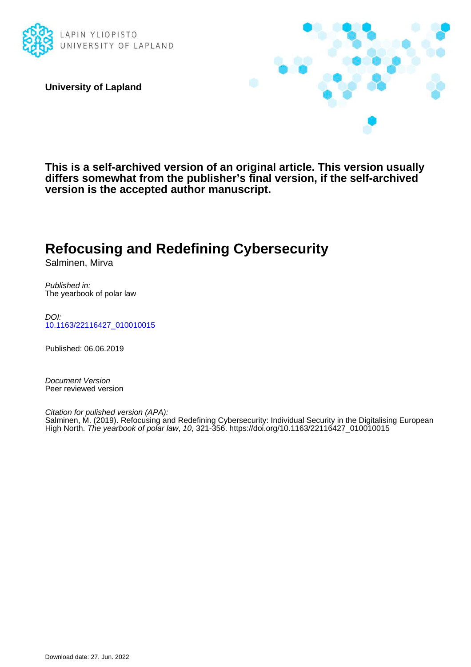

**University of Lapland**



**This is a self-archived version of an original article. This version usually differs somewhat from the publisher's final version, if the self-archived version is the accepted author manuscript.**

# **Refocusing and Redefining Cybersecurity**

Salminen, Mirva

Published in: The yearbook of polar law

DOI: [10.1163/22116427\\_010010015](https://doi.org/10.1163/22116427_010010015)

Published: 06.06.2019

Document Version Peer reviewed version

Citation for pulished version (APA): Salminen, M. (2019). Refocusing and Redefining Cybersecurity: Individual Security in the Digitalising European High North. The yearbook of polar law, 10, 321-356. [https://doi.org/10.1163/22116427\\_010010015](https://doi.org/10.1163/22116427_010010015)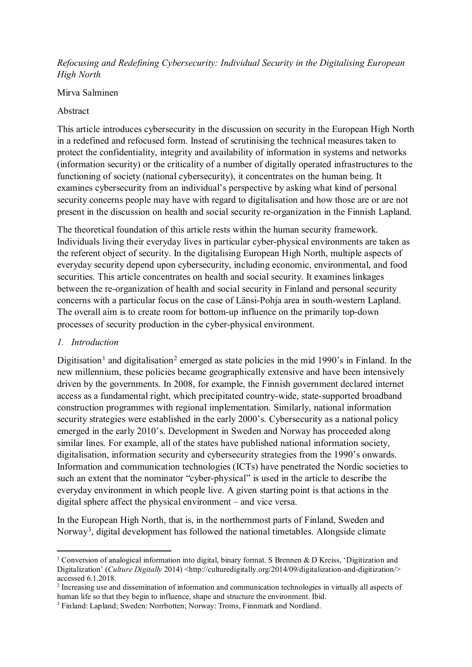## *Refocusing and Redefining Cybersecurity: Individual Security in the Digitalising European High North*

### Mirva Salminen

## Abstract

This article introduces cybersecurity in the discussion on security in the European High North in a redefined and refocused form. Instead of scrutinising the technical measures taken to protect the confidentiality, integrity and availability of information in systems and networks (information security) or the criticality of a number of digitally operated infrastructures to the functioning of society (national cybersecurity), it concentrates on the human being. It examines cybersecurity from an individual's perspective by asking what kind of personal security concerns people may have with regard to digitalisation and how those are or are not present in the discussion on health and social security re-organization in the Finnish Lapland.

The theoretical foundation of this article rests within the human security framework. Individuals living their everyday lives in particular cyber-physical environments are taken as the referent object of security. In the digitalising European High North, multiple aspects of everyday security depend upon cybersecurity, including economic, environmental, and food securities. This article concentrates on health and social security. It examines linkages between the re-organization of health and social security in Finland and personal security concerns with a particular focus on the case of Länsi-Pohja area in south-western Lapland. The overall aim is to create room for bottom-up influence on the primarily top-down processes of security production in the cyber-physical environment.

## *1. Introduction*

1

Digitisation<sup>[1](#page-1-0)</sup> and digitalisation<sup>[2](#page-1-1)</sup> emerged as state policies in the mid 1990's in Finland. In the new millennium, these policies became geographically extensive and have been intensively driven by the governments. In 2008, for example, the Finnish government declared internet access as a fundamental right, which precipitated country-wide, state-supported broadband construction programmes with regional implementation. Similarly, national information security strategies were established in the early 2000's. Cybersecurity as a national policy emerged in the early 2010's. Development in Sweden and Norway has proceeded along similar lines. For example, all of the states have published national information society, digitalisation, information security and cybersecurity strategies from the 1990's onwards. Information and communication technologies (ICTs) have penetrated the Nordic societies to such an extent that the nominator "cyber-physical" is used in the article to describe the everyday environment in which people live. A given starting point is that actions in the digital sphere affect the physical environment – and vice versa.

In the European High North, that is, in the northernmost parts of Finland, Sweden and Norway<sup>[3](#page-1-2)</sup>, digital development has followed the national timetables. Alongside climate

<span id="page-1-0"></span><sup>&</sup>lt;sup>1</sup> Conversion of analogical information into digital, binary format. S Brennen & D Kreiss, 'Digitization and Digitalization' (*Culture Digitally* 2014) <http://culturedigitally.org/2014/09/digitalization-and-digitization/> accessed 6.1.2018.

<span id="page-1-1"></span><sup>2</sup> Increasing use and dissemination of information and communication technologies in virtually all aspects of human life so that they begin to influence, shape and structure the environment. Ibid.

<span id="page-1-2"></span><sup>&</sup>lt;sup>3</sup> Finland: Lapland; Sweden: Norrbotten; Norway: Troms, Finnmark and Nordland.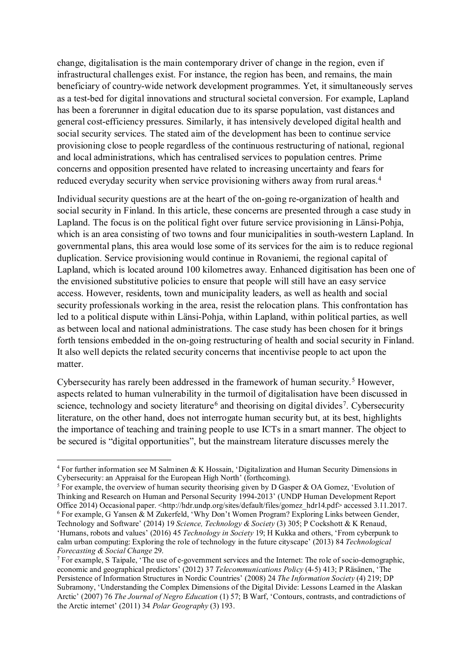change, digitalisation is the main contemporary driver of change in the region, even if infrastructural challenges exist. For instance, the region has been, and remains, the main beneficiary of country-wide network development programmes. Yet, it simultaneously serves as a test-bed for digital innovations and structural societal conversion. For example, Lapland has been a forerunner in digital education due to its sparse population, vast distances and general cost-efficiency pressures. Similarly, it has intensively developed digital health and social security services. The stated aim of the development has been to continue service provisioning close to people regardless of the continuous restructuring of national, regional and local administrations, which has centralised services to population centres. Prime concerns and opposition presented have related to increasing uncertainty and fears for reduced everyday security when service provisioning withers away from rural areas. [4](#page-2-0)

Individual security questions are at the heart of the on-going re-organization of health and social security in Finland. In this article, these concerns are presented through a case study in Lapland. The focus is on the political fight over future service provisioning in Länsi-Pohja, which is an area consisting of two towns and four municipalities in south-western Lapland. In governmental plans, this area would lose some of its services for the aim is to reduce regional duplication. Service provisioning would continue in Rovaniemi, the regional capital of Lapland, which is located around 100 kilometres away. Enhanced digitisation has been one of the envisioned substitutive policies to ensure that people will still have an easy service access. However, residents, town and municipality leaders, as well as health and social security professionals working in the area, resist the relocation plans. This confrontation has led to a political dispute within Länsi-Pohja, within Lapland, within political parties, as well as between local and national administrations. The case study has been chosen for it brings forth tensions embedded in the on-going restructuring of health and social security in Finland. It also well depicts the related security concerns that incentivise people to act upon the matter.

Cybersecurity has rarely been addressed in the framework of human security. [5](#page-2-1) However, aspects related to human vulnerability in the turmoil of digitalisation have been discussed in science, technology and society literature<sup>[6](#page-2-2)</sup> and theorising on digital divides<sup>7</sup>. Cybersecurity literature, on the other hand, does not interrogate human security but, at its best, highlights the importance of teaching and training people to use ICTs in a smart manner. The object to be secured is "digital opportunities", but the mainstream literature discusses merely the

<span id="page-2-0"></span><sup>4</sup> For further information see M Salminen & K Hossain, 'Digitalization and Human Security Dimensions in Cybersecurity: an Appraisal for the European High North' (forthcoming).

<span id="page-2-1"></span><sup>&</sup>lt;sup>5</sup> For example, the overview of human security theorising given by D Gasper & OA Gomez, 'Evolution of Thinking and Research on Human and Personal Security 1994-2013' (UNDP Human Development Report Office 2014) Occasional paper. <http://hdr.undp.org/sites/default/files/gomez\_hdr14.pdf> accessed 3.11.2017. <sup>6</sup> For example, G Yansen & M Zukerfeld, 'Why Don't Women Program? Exploring Links between Gender,

<span id="page-2-2"></span>Technology and Software' (2014) 19 *Science, Technology & Society* (3) 305; P Cockshott & K Renaud, 'Humans, robots and values' (2016) 45 *Technology in Society* 19; H Kukka and others, 'From cyberpunk to calm urban computing: Exploring the role of technology in the future cityscape' (2013) 84 *Technological* 

<span id="page-2-3"></span>*Forecasting & Social Change* 29. 7 For example, S Taipale, 'The use of e-government services and the Internet: The role of socio-demographic, economic and geographical predictors' (2012) 37 *Telecommunications Policy* (4-5) 413; P Räsänen, 'The Persistence of Information Structures in Nordic Countries' (2008) 24 *The Information Society* (4) 219; DP Subramony, 'Understanding the Complex Dimensions of the Digital Divide: Lessons Learned in the Alaskan Arctic' (2007) 76 *The Journal of Negro Education* (1) 57; B Warf, 'Contours, contrasts, and contradictions of the Arctic internet' (2011) 34 *Polar Geography* (3) 193.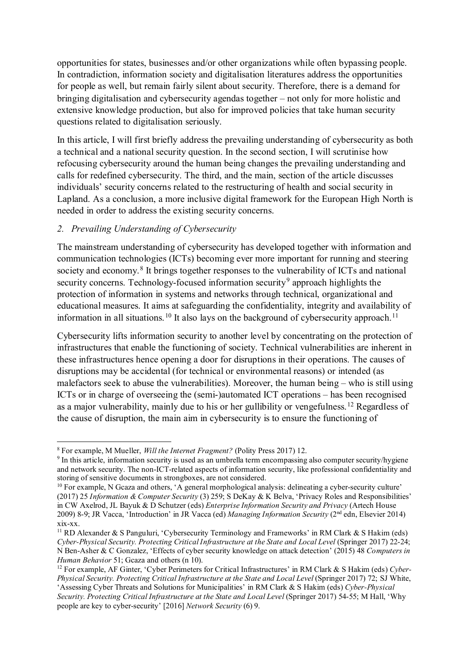opportunities for states, businesses and/or other organizations while often bypassing people. In contradiction, information society and digitalisation literatures address the opportunities for people as well, but remain fairly silent about security. Therefore, there is a demand for bringing digitalisation and cybersecurity agendas together – not only for more holistic and extensive knowledge production, but also for improved policies that take human security questions related to digitalisation seriously.

In this article, I will first briefly address the prevailing understanding of cybersecurity as both a technical and a national security question. In the second section, I will scrutinise how refocusing cybersecurity around the human being changes the prevailing understanding and calls for redefined cybersecurity. The third, and the main, section of the article discusses individuals' security concerns related to the restructuring of health and social security in Lapland. As a conclusion, a more inclusive digital framework for the European High North is needed in order to address the existing security concerns.

#### *2. Prevailing Understanding of Cybersecurity*

The mainstream understanding of cybersecurity has developed together with information and communication technologies (ICTs) becoming ever more important for running and steering society and economy.<sup>[8](#page-3-0)</sup> It brings together responses to the vulnerability of ICTs and national security concerns. Technology-focused information security<sup>[9](#page-3-1)</sup> approach highlights the protection of information in systems and networks through technical, organizational and educational measures. It aims at safeguarding the confidentiality, integrity and availability of information in all situations.<sup>[10](#page-3-2)</sup> It also lays on the background of cybersecurity approach.<sup>[11](#page-3-3)</sup>

Cybersecurity lifts information security to another level by concentrating on the protection of infrastructures that enable the functioning of society. Technical vulnerabilities are inherent in these infrastructures hence opening a door for disruptions in their operations. The causes of disruptions may be accidental (for technical or environmental reasons) or intended (as malefactors seek to abuse the vulnerabilities). Moreover, the human being – who is still using ICTs or in charge of overseeing the (semi-)automated ICT operations – has been recognised as a major vulnerability, mainly due to his or her gullibility or vengefulness. [12](#page-3-4) Regardless of the cause of disruption, the main aim in cybersecurity is to ensure the functioning of

people are key to cyber-security' [2016] *Network Security* (6) 9.

<span id="page-3-0"></span><sup>8</sup> For example, M Mueller, *Will the Internet Fragment?* (Polity Press 2017) 12.

<span id="page-3-1"></span><sup>&</sup>lt;sup>9</sup> In this article, information security is used as an umbrella term encompassing also computer security/hygiene and network security. The non-ICT-related aspects of information security, like professional confidentiality and storing of sensitive documents in strongboxes, are not considered.

<span id="page-3-2"></span><sup>&</sup>lt;sup>10</sup> For example, N Gcaza and others, 'A general morphological analysis: delineating a cyber-security culture' (2017) 25 *Information & Computer Security* (3) 259; S DeKay & K Belva, 'Privacy Roles and Responsibilities' in CW Axelrod, JL Bayuk & D Schutzer (eds) *Enterprise Information Security and Privacy* (Artech House 2009) 8-9; JR Vacca, 'Introduction' in JR Vacca (ed) *Managing Information Security* (2nd edn, Elsevier 2014) xix-xx.

<span id="page-3-3"></span><sup>&</sup>lt;sup>11</sup> RD Alexander & S Panguluri, 'Cybersecurity Terminology and Frameworks' in RM Clark & S Hakim (eds) *Cyber-Physical Security. Protecting Critical Infrastructure at the State and Local Level* (Springer 2017) 22-24; N Ben-Asher & C Gonzalez, 'Effects of cyber security knowledge on attack detection' (2015) 48 *Computers in* 

<span id="page-3-4"></span><sup>&</sup>lt;sup>12</sup> For example, AF Ginter, 'Cyber Perimeters for Critical Infrastructures' in RM Clark & S Hakim (eds) *Cyber-Physical Security. Protecting Critical Infrastructure at the State and Local Level* (Springer 2017) 72; SJ White, 'Assessing Cyber Threats and Solutions for Municipalities' in RM Clark & S Hakim (eds) *Cyber-Physical Security. Protecting Critical Infrastructure at the State and Local Level* (Springer 2017) 54-55; M Hall, 'Why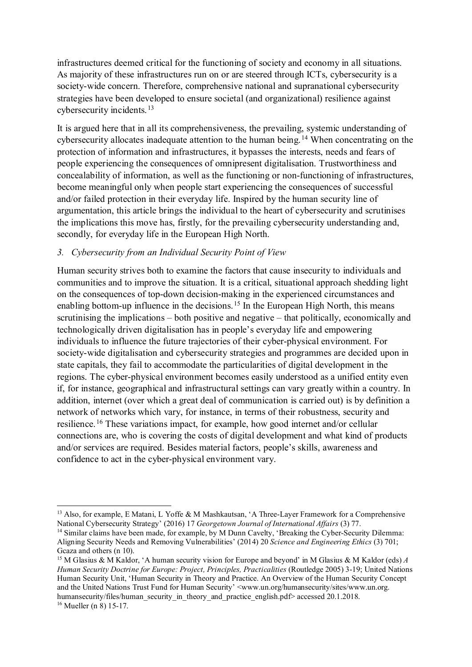infrastructures deemed critical for the functioning of society and economy in all situations. As majority of these infrastructures run on or are steered through ICTs, cybersecurity is a society-wide concern. Therefore, comprehensive national and supranational cybersecurity strategies have been developed to ensure societal (and organizational) resilience against cybersecurity incidents.[13](#page-4-0)

It is argued here that in all its comprehensiveness, the prevailing, systemic understanding of cybersecurity allocates inadequate attention to the human being.<sup>[14](#page-4-1)</sup> When concentrating on the protection of information and infrastructures, it bypasses the interests, needs and fears of people experiencing the consequences of omnipresent digitalisation. Trustworthiness and concealability of information, as well as the functioning or non-functioning of infrastructures, become meaningful only when people start experiencing the consequences of successful and/or failed protection in their everyday life. Inspired by the human security line of argumentation, this article brings the individual to the heart of cybersecurity and scrutinises the implications this move has, firstly, for the prevailing cybersecurity understanding and, secondly, for everyday life in the European High North.

#### *3. Cybersecurity from an Individual Security Point of View*

Human security strives both to examine the factors that cause insecurity to individuals and communities and to improve the situation. It is a critical, situational approach shedding light on the consequences of top-down decision-making in the experienced circumstances and enabling bottom-up influence in the decisions.<sup>[15](#page-4-2)</sup> In the European High North, this means scrutinising the implications – both positive and negative – that politically, economically and technologically driven digitalisation has in people's everyday life and empowering individuals to influence the future trajectories of their cyber-physical environment. For society-wide digitalisation and cybersecurity strategies and programmes are decided upon in state capitals, they fail to accommodate the particularities of digital development in the regions. The cyber-physical environment becomes easily understood as a unified entity even if, for instance, geographical and infrastructural settings can vary greatly within a country. In addition, internet (over which a great deal of communication is carried out) is by definition a network of networks which vary, for instance, in terms of their robustness, security and resilience.[16](#page-4-3) These variations impact, for example, how good internet and/or cellular connections are, who is covering the costs of digital development and what kind of products and/or services are required. Besides material factors, people's skills, awareness and confidence to act in the cyber-physical environment vary.

<span id="page-4-0"></span><sup>1</sup> <sup>13</sup> Also, for example, E Matani, L Yoffe & M Mashkautsan, 'A Three-Layer Framework for a Comprehensive National Cybersecurity Strategy' (2016) 17 *Georgetown Journal of International Affairs* (3) 77.<br><sup>14</sup> Similar claims have been made, for example, by M Dunn Cavelty, 'Breaking the Cyber-Security Dilemma:

<span id="page-4-1"></span>Aligning Security Needs and Removing Vulnerabilities' (2014) 20 *Science and Engineering Ethics* (3) 701; Gcaza and others (n 10).

<span id="page-4-3"></span><span id="page-4-2"></span><sup>15</sup> M Glasius & M Kaldor, 'A human security vision for Europe and beyond' in M Glasius & M Kaldor (eds) *A Human Security Doctrine for Europe: Project, Principles, Practicalities* (Routledge 2005) 3-19; United Nations Human Security Unit, 'Human Security in Theory and Practice. An Overview of the Human Security Concept and the United Nations Trust Fund for Human Security' <www.un.org/humansecurity/sites/www.un.org. humansecurity/files/human\_security\_in\_theory\_and\_practice\_english.pdf> accessed 20.1.2018.  $16$  Mueller (n  $\overline{8}$ ) 15-17.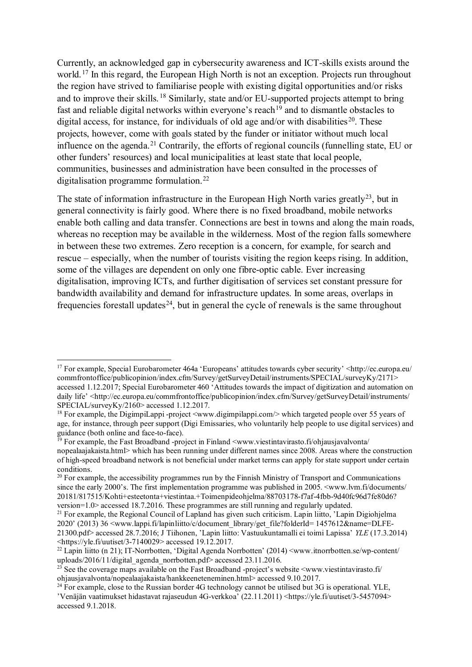Currently, an acknowledged gap in cybersecurity awareness and ICT-skills exists around the world.<sup>[17](#page-5-0)</sup> In this regard, the European High North is not an exception. Projects run throughout the region have strived to familiarise people with existing digital opportunities and/or risks and to improve their skills. [18](#page-5-1) Similarly, state and/or EU-supported projects attempt to bring fast and reliable digital networks within everyone's reach<sup>[19](#page-5-2)</sup> and to dismantle obstacles to digital access, for instance, for individuals of old age and/or with disabilities<sup>20</sup>. These projects, however, come with goals stated by the funder or initiator without much local influence on the agenda.[21](#page-5-4) Contrarily, the efforts of regional councils (funnelling state, EU or other funders' resources) and local municipalities at least state that local people, communities, businesses and administration have been consulted in the processes of digitalisation programme formulation.[22](#page-5-5)

The state of information infrastructure in the European High North varies greatly<sup>[23](#page-5-6)</sup>, but in general connectivity is fairly good. Where there is no fixed broadband, mobile networks enable both calling and data transfer. Connections are best in towns and along the main roads, whereas no reception may be available in the wilderness. Most of the region falls somewhere in between these two extremes. Zero reception is a concern, for example, for search and rescue – especially, when the number of tourists visiting the region keeps rising. In addition, some of the villages are dependent on only one fibre-optic cable. Ever increasing digitalisation, improving ICTs, and further digitisation of services set constant pressure for bandwidth availability and demand for infrastructure updates. In some areas, overlaps in frequencies forestall updates<sup>24</sup>, but in general the cycle of renewals is the same throughout

<span id="page-5-0"></span><sup>&</sup>lt;sup>17</sup> For example, Special Eurobarometer 464a 'Europeans' attitudes towards cyber security' <http://ec.europa.eu/ commfrontoffice/publicopinion/index.cfm/Survey/getSurveyDetail/instruments/SPECIAL/surveyKy/2171> accessed 1.12.2017; Special Eurobarometer 460 'Attitudes towards the impact of digitization and automation on daily life' <http://ec.europa.eu/commfrontoffice/publicopinion/index.cfm/Survey/getSurveyDetail/instruments/ SPECIAL/surveyKy/2160> accessed 1.12.2017.

<span id="page-5-1"></span><sup>&</sup>lt;sup>18</sup> For example, the DigimpiLappi -project <www.digimpilappi.com/> which targeted people over 55 years of age, for instance, through peer support (Digi Emissaries, who voluntarily help people to use digital services) and guidance (both online and face-to-face).

<span id="page-5-2"></span><sup>&</sup>lt;sup>19</sup> For example, the Fast Broadband -project in Finland  $\langle$ www.viestintavirasto.fi/ohjausjavalvonta/ nopealaajakaista.html> which has been running under different names since 2008. Areas where the construction of high-speed broadband network is not beneficial under market terms can apply for state support under certain conditions.

<span id="page-5-3"></span> $20$  For example, the accessibility programmes run by the Finnish Ministry of Transport and Communications since the early 2000's. The first implementation programme was published in 2005.  $\langle$ www.lvm.fi/documents/ 20181/817515/Kohti+esteetonta+viestintaa.+Toimenpideohjelma/88703178-f7af-4fbb-9d40fc96d7fe80d6? version=1.0> accessed 18.7.2016. These programmes are still running and regularly updated.

<span id="page-5-4"></span><sup>&</sup>lt;sup>21</sup> For example, the Regional Council of Lapland has given such criticism. Lapin liitto, 'Lapin Digiohjelma 2020' (2013) 36 <www.lappi.fi/lapinliitto/c/document\_library/get\_file?folderId= 1457612&name=DLFE-21300.pdf> accessed 28.7.2016; J Tiihonen, 'Lapin liitto: Vastuukuntamalli ei toimi Lapissa' *YLE* (17.3.2014)  $\langle$ https://yle.fi/uutiset/3-7140029> accessed 19.12.2017.

<span id="page-5-5"></span><sup>&</sup>lt;sup>22</sup> Lapin liitto (n 21); IT-Norrbotten, 'Digital Agenda Norrbotten' (2014)  $\leq$ www.itnorrbotten.se/wp-content/ uploads/2016/11/digital\_agenda\_norrbotten.pdf> accessed 23.11.2016.

<span id="page-5-6"></span><sup>&</sup>lt;sup>23</sup> See the coverage maps available on the Fast Broadband -project's website  $\leq$ www.viestintavirasto.fi/ ohjausjavalvonta/nopealaajakaista/hankkeeneteneminen.html> accessed 9.10.2017.

<span id="page-5-7"></span> $^{24}$  For example, close to the Russian border 4G technology cannot be utilised but 3G is operational. YLE, 'Venäjän vaatimukset hidastavat rajaseudun 4G-verkkoa' (22.11.2011) <https://yle.fi/uutiset/3-5457094> accessed 9.1.2018.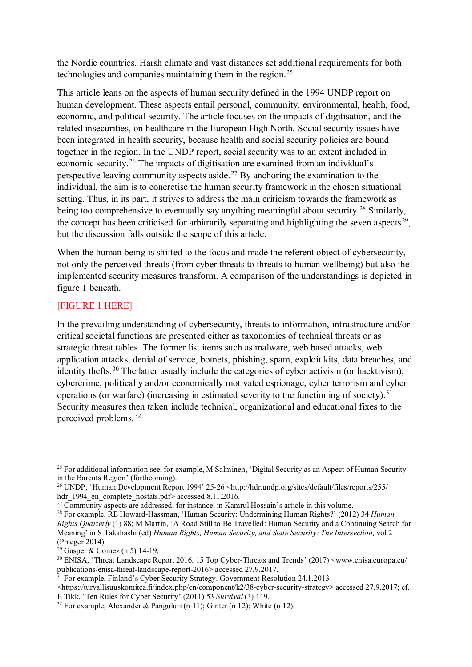the Nordic countries. Harsh climate and vast distances set additional requirements for both technologies and companies maintaining them in the region. [25](#page-6-0)

This article leans on the aspects of human security defined in the 1994 UNDP report on human development. These aspects entail personal, community, environmental, health, food, economic, and political security. The article focuses on the impacts of digitisation, and the related insecurities, on healthcare in the European High North. Social security issues have been integrated in health security, because health and social security policies are bound together in the region. In the UNDP report, social security was to an extent included in economic security.[26](#page-6-1) The impacts of digitisation are examined from an individual's perspective leaving community aspects aside.<sup>[27](#page-6-2)</sup> By anchoring the examination to the individual, the aim is to concretise the human security framework in the chosen situational setting. Thus, in its part, it strives to address the main criticism towards the framework as being too comprehensive to eventually say anything meaningful about security.<sup>[28](#page-6-3)</sup> Similarly, the concept has been criticised for arbitrarily separating and highlighting the seven aspects<sup>[29](#page-6-4)</sup>, but the discussion falls outside the scope of this article.

When the human being is shifted to the focus and made the referent object of cybersecurity, not only the perceived threats (from cyber threats to threats to human wellbeing) but also the implemented security measures transform. A comparison of the understandings is depicted in figure 1 beneath.

## [FIGURE 1 HERE]

1

In the prevailing understanding of cybersecurity, threats to information, infrastructure and/or critical societal functions are presented either as taxonomies of technical threats or as strategic threat tables. The former list items such as malware, web based attacks, web application attacks, denial of service, botnets, phishing, spam, exploit kits, data breaches, and identity thefts.<sup>[30](#page-6-5)</sup> The latter usually include the categories of cyber activism (or hacktivism), cybercrime, politically and/or economically motivated espionage, cyber terrorism and cyber operations (or warfare) (increasing in estimated severity to the functioning of society).<sup>[31](#page-6-6)</sup> Security measures then taken include technical, organizational and educational fixes to the perceived problems. [32](#page-6-7)

<span id="page-6-0"></span><sup>&</sup>lt;sup>25</sup> For additional information see, for example, M Salminen, 'Digital Security as an Aspect of Human Security in the Barents Region' (forthcoming).

<span id="page-6-1"></span><sup>&</sup>lt;sup>26</sup> UNDP, 'Human Development Report 1994' 25-26 <http://hdr.undp.org/sites/default/files/reports/255/ hdr 1994 en complete nostats.pdf> accessed 8.11.2016.

<span id="page-6-2"></span><sup>&</sup>lt;sup>27</sup> Community aspects are addressed, for instance, in Kamrul Hossain's article in this volume.

<span id="page-6-3"></span><sup>28</sup> For example, RE Howard-Hassman, 'Human Security: Undermining Human Rights?' (2012) 34 *Human Rights Quarterly* (1) 88; M Martin, 'A Road Still to Be Travelled: Human Security and a Continuing Search for Meaning' in S Takahashi (ed) *Human Rights, Human Security, and State Security: The Intersection,* vol 2 (Praeger 2014). 29 Gasper & Gomez (n 5) 14-19.

<span id="page-6-5"></span><span id="page-6-4"></span><sup>30</sup> ENISA, 'Threat Landscape Report 2016. 15 Top Cyber-Threats and Trends' (2017) <www.enisa.europa.eu/ publications/enisa-threat-landscape-report-2016> accessed 27.9.2017.

<span id="page-6-6"></span> $31$  For example, Finland's Cyber Security Strategy. Government Resolution 24.1.2013

<sup>&</sup>lt;https://turvallisuuskomitea.fi/index.php/en/component/k2/38-cyber-security-strategy> accessed 27.9.2017; cf.

<span id="page-6-7"></span><sup>&</sup>lt;sup>32</sup> For example, Alexander & Panguluri (n 11); Ginter (n 12); White (n 12).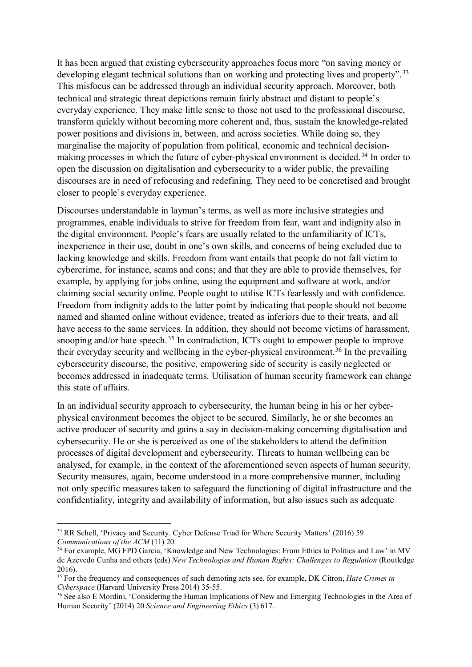It has been argued that existing cybersecurity approaches focus more "on saving money or developing elegant technical solutions than on working and protecting lives and property".<sup>[33](#page-7-0)</sup> This misfocus can be addressed through an individual security approach. Moreover, both technical and strategic threat depictions remain fairly abstract and distant to people's everyday experience. They make little sense to those not used to the professional discourse, transform quickly without becoming more coherent and, thus, sustain the knowledge-related power positions and divisions in, between, and across societies. While doing so, they marginalise the majority of population from political, economic and technical decision-making processes in which the future of cyber-physical environment is decided.<sup>[34](#page-7-1)</sup> In order to open the discussion on digitalisation and cybersecurity to a wider public, the prevailing discourses are in need of refocusing and redefining. They need to be concretised and brought closer to people's everyday experience.

Discourses understandable in layman's terms, as well as more inclusive strategies and programmes, enable individuals to strive for freedom from fear, want and indignity also in the digital environment. People's fears are usually related to the unfamiliarity of ICTs, inexperience in their use, doubt in one's own skills, and concerns of being excluded due to lacking knowledge and skills. Freedom from want entails that people do not fall victim to cybercrime, for instance, scams and cons; and that they are able to provide themselves, for example, by applying for jobs online, using the equipment and software at work, and/or claiming social security online. People ought to utilise ICTs fearlessly and with confidence. Freedom from indignity adds to the latter point by indicating that people should not become named and shamed online without evidence, treated as inferiors due to their treats, and all have access to the same services. In addition, they should not become victims of harassment, snooping and/or hate speech.<sup>[35](#page-7-2)</sup> In contradiction, ICTs ought to empower people to improve their everyday security and wellbeing in the cyber-physical environment.<sup>[36](#page-7-3)</sup> In the prevailing cybersecurity discourse, the positive, empowering side of security is easily neglected or becomes addressed in inadequate terms. Utilisation of human security framework can change this state of affairs.

In an individual security approach to cybersecurity, the human being in his or her cyberphysical environment becomes the object to be secured. Similarly, he or she becomes an active producer of security and gains a say in decision-making concerning digitalisation and cybersecurity. He or she is perceived as one of the stakeholders to attend the definition processes of digital development and cybersecurity. Threats to human wellbeing can be analysed, for example, in the context of the aforementioned seven aspects of human security. Security measures, again, become understood in a more comprehensive manner, including not only specific measures taken to safeguard the functioning of digital infrastructure and the confidentiality, integrity and availability of information, but also issues such as adequate

<span id="page-7-0"></span><sup>&</sup>lt;sup>33</sup> RR Schell, 'Privacy and Security. Cyber Defense Triad for Where Security Matters' (2016) 59 *Communications of the ACM* (11) 20.

<span id="page-7-1"></span><sup>&</sup>lt;sup>34</sup> For example, MG FPD Garcia, 'Knowledge and New Technologies: From Ethics to Politics and Law' in MV de Azevedo Cunha and others (eds) *New Technologies and Human Rights: Challenges to Regulation* (Routledge 2016).

<span id="page-7-2"></span><sup>35</sup> For the frequency and consequences of such demoting acts see, for example, DK Citron, *Hate Crimes in Cyberspace* (Harvard University Press 2014) 35-55.

<span id="page-7-3"></span><sup>&</sup>lt;sup>36</sup> See also E Mordini, 'Considering the Human Implications of New and Emerging Technologies in the Area of Human Security' (2014) 20 *Science and Engineering Ethics* (3) 617.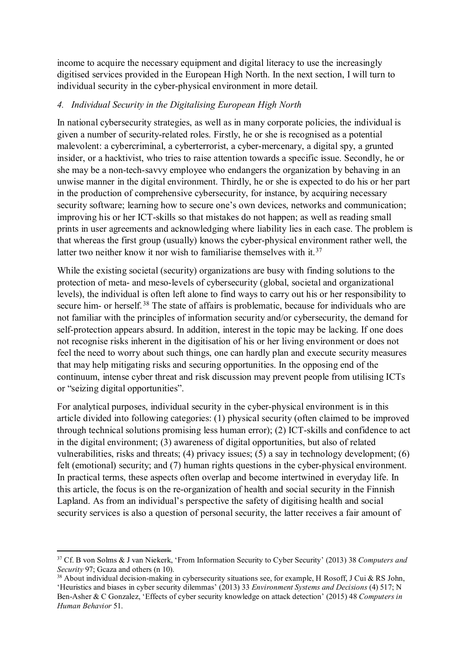income to acquire the necessary equipment and digital literacy to use the increasingly digitised services provided in the European High North. In the next section, I will turn to individual security in the cyber-physical environment in more detail.

## *4. Individual Security in the Digitalising European High North*

In national cybersecurity strategies, as well as in many corporate policies, the individual is given a number of security-related roles. Firstly, he or she is recognised as a potential malevolent: a cybercriminal, a cyberterrorist, a cyber-mercenary, a digital spy, a grunted insider, or a hacktivist, who tries to raise attention towards a specific issue. Secondly, he or she may be a non-tech-savvy employee who endangers the organization by behaving in an unwise manner in the digital environment. Thirdly, he or she is expected to do his or her part in the production of comprehensive cybersecurity, for instance, by acquiring necessary security software; learning how to secure one's own devices, networks and communication; improving his or her ICT-skills so that mistakes do not happen; as well as reading small prints in user agreements and acknowledging where liability lies in each case. The problem is that whereas the first group (usually) knows the cyber-physical environment rather well, the latter two neither know it nor wish to familiarise themselves with it.<sup>[37](#page-8-0)</sup>

While the existing societal (security) organizations are busy with finding solutions to the protection of meta- and meso-levels of cybersecurity (global, societal and organizational levels), the individual is often left alone to find ways to carry out his or her responsibility to secure him- or herself.<sup>[38](#page-8-1)</sup> The state of affairs is problematic, because for individuals who are not familiar with the principles of information security and/or cybersecurity, the demand for self-protection appears absurd. In addition, interest in the topic may be lacking. If one does not recognise risks inherent in the digitisation of his or her living environment or does not feel the need to worry about such things, one can hardly plan and execute security measures that may help mitigating risks and securing opportunities. In the opposing end of the continuum, intense cyber threat and risk discussion may prevent people from utilising ICTs or "seizing digital opportunities".

For analytical purposes, individual security in the cyber-physical environment is in this article divided into following categories: (1) physical security (often claimed to be improved through technical solutions promising less human error); (2) ICT-skills and confidence to act in the digital environment; (3) awareness of digital opportunities, but also of related vulnerabilities, risks and threats; (4) privacy issues; (5) a say in technology development; (6) felt (emotional) security; and (7) human rights questions in the cyber-physical environment. In practical terms, these aspects often overlap and become intertwined in everyday life. In this article, the focus is on the re-organization of health and social security in the Finnish Lapland. As from an individual's perspective the safety of digitising health and social security services is also a question of personal security, the latter receives a fair amount of

<span id="page-8-0"></span><sup>1</sup> <sup>37</sup> Cf. B von Solms & J van Niekerk, 'From Information Security to Cyber Security' (2013) 38 *Computers and Security* 97; Gcaza and others (n 10).<br><sup>38</sup> About individual decision-making in cybersecurity situations see, for example, H Rosoff, J Cui & RS John,

<span id="page-8-1"></span><sup>&#</sup>x27;Heuristics and biases in cyber security dilemmas' (2013) 33 *Environment Systems and Decisions* (4) 517; N Ben-Asher & C Gonzalez, 'Effects of cyber security knowledge on attack detection' (2015) 48 *Computers in Human Behavior* 51.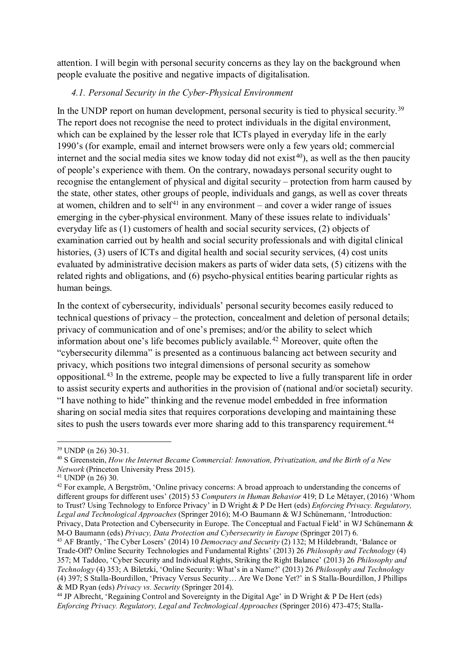attention. I will begin with personal security concerns as they lay on the background when people evaluate the positive and negative impacts of digitalisation.

#### *4.1. Personal Security in the Cyber-Physical Environment*

In the UNDP report on human development, personal security is tied to physical security.<sup>[39](#page-9-0)</sup> The report does not recognise the need to protect individuals in the digital environment, which can be explained by the lesser role that ICTs played in everyday life in the early 1990's (for example, email and internet browsers were only a few years old; commercial internet and the social media sites we know today did not exist<sup>40</sup>), as well as the then paucity of people's experience with them. On the contrary, nowadays personal security ought to recognise the entanglement of physical and digital security – protection from harm caused by the state, other states, other groups of people, individuals and gangs, as well as cover threats at women, children and to self<sup>[41](#page-9-2)</sup> in any environment – and cover a wider range of issues emerging in the cyber-physical environment. Many of these issues relate to individuals' everyday life as (1) customers of health and social security services, (2) objects of examination carried out by health and social security professionals and with digital clinical histories, (3) users of ICTs and digital health and social security services, (4) cost units evaluated by administrative decision makers as parts of wider data sets, (5) citizens with the related rights and obligations, and (6) psycho-physical entities bearing particular rights as human beings.

In the context of cybersecurity, individuals' personal security becomes easily reduced to technical questions of privacy – the protection, concealment and deletion of personal details; privacy of communication and of one's premises; and/or the ability to select which information about one's life becomes publicly available. [42](#page-9-3) Moreover, quite often the "cybersecurity dilemma" is presented as a continuous balancing act between security and privacy, which positions two integral dimensions of personal security as somehow oppositional.[43](#page-9-4) In the extreme, people may be expected to live a fully transparent life in order to assist security experts and authorities in the provision of (national and/or societal) security. "I have nothing to hide" thinking and the revenue model embedded in free information sharing on social media sites that requires corporations developing and maintaining these sites to push the users towards ever more sharing add to this transparency requirement.<sup>[44](#page-9-5)</sup>

<span id="page-9-1"></span><span id="page-9-0"></span><sup>&</sup>lt;sup>39</sup> UNDP (n 26) 30-31.<br><sup>40</sup> S Greenstein, *How the Internet Became Commercial: Innovation, Privatization, and the Birth of a New <sup>40</sup> Network* (Princeton University Press 2015).

<span id="page-9-2"></span> $41$  UNDP (n 26) 30.

<span id="page-9-3"></span><sup>&</sup>lt;sup>42</sup> For example, A Bergström, 'Online privacy concerns: A broad approach to understanding the concerns of different groups for different uses' (2015) 53 *Computers in Human Behavior* 419; D Le Métayer, (2016) 'Whom to Trust? Using Technology to Enforce Privacy' in D Wright & P De Hert (eds) *Enforcing Privacy. Regulatory, Legal and Technological Approaches* (Springer 2016); M-O Baumann & WJ Schünemann, 'Introduction: Privacy, Data Protection and Cybersecurity in Europe. The Conceptual and Factual Field' in WJ Schünemann & M-O Baumann (eds) *Privacy, Data Protection and Cybersecurity in Europe* (Springer 2017) 6.

<span id="page-9-4"></span><sup>43</sup> AF Brantly, 'The Cyber Losers' (2014) 10 *Democracy and Security* (2) 132; M Hildebrandt, 'Balance or Trade-Off? Online Security Technologies and Fundamental Rights' (2013) 26 *Philosophy and Technology* (4) 357; M Taddeo, 'Cyber Security and Individual Rights, Striking the Right Balance' (2013) 26 *Philosophy and Technology* (4) 353; A Biletzki, 'Online Security: What's in a Name?' (2013) 26 *Philosophy and Technology* (4) 397; S Stalla-Bourdillon, 'Privacy Versus Security… Are We Done Yet?' in S Stalla-Bourdillon, J Phillips & MD Ryan (eds) *Privacy vs. Security* (Springer 2014).

<span id="page-9-5"></span><sup>&</sup>lt;sup>44</sup> JP Albrecht, 'Regaining Control and Sovereignty in the Digital Age' in D Wright & P De Hert (eds) *Enforcing Privacy. Regulatory, Legal and Technological Approaches* (Springer 2016) 473-475; Stalla-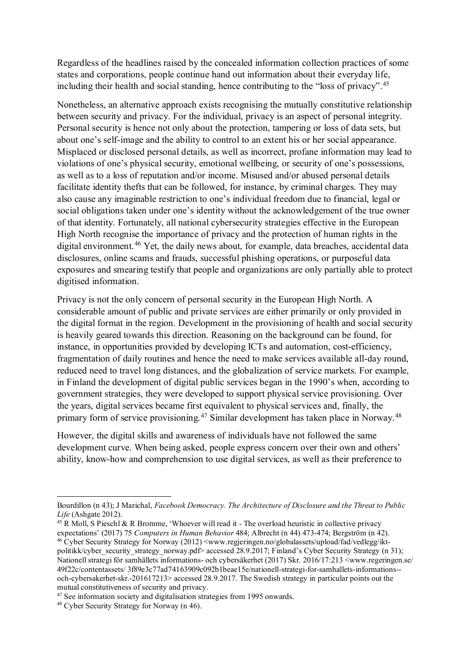Regardless of the headlines raised by the concealed information collection practices of some states and corporations, people continue hand out information about their everyday life, including their health and social standing, hence contributing to the "loss of privacy".<sup>[45](#page-10-0)</sup>

Nonetheless, an alternative approach exists recognising the mutually constitutive relationship between security and privacy. For the individual, privacy is an aspect of personal integrity. Personal security is hence not only about the protection, tampering or loss of data sets, but about one's self-image and the ability to control to an extent his or her social appearance. Misplaced or disclosed personal details, as well as incorrect, profane information may lead to violations of one's physical security, emotional wellbeing, or security of one's possessions, as well as to a loss of reputation and/or income. Misused and/or abused personal details facilitate identity thefts that can be followed, for instance, by criminal charges. They may also cause any imaginable restriction to one's individual freedom due to financial, legal or social obligations taken under one's identity without the acknowledgement of the true owner of that identity. Fortunately, all national cybersecurity strategies effective in the European High North recognise the importance of privacy and the protection of human rights in the digital environment.<sup>[46](#page-10-1)</sup> Yet, the daily news about, for example, data breaches, accidental data disclosures, online scams and frauds, successful phishing operations, or purposeful data exposures and smearing testify that people and organizations are only partially able to protect digitised information.

Privacy is not the only concern of personal security in the European High North. A considerable amount of public and private services are either primarily or only provided in the digital format in the region. Development in the provisioning of health and social security is heavily geared towards this direction. Reasoning on the background can be found, for instance, in opportunities provided by developing ICTs and automation, cost-efficiency, fragmentation of daily routines and hence the need to make services available all-day round, reduced need to travel long distances, and the globalization of service markets. For example, in Finland the development of digital public services began in the 1990's when, according to government strategies, they were developed to support physical service provisioning. Over the years, digital services became first equivalent to physical services and, finally, the primary form of service provisioning.<sup>[47](#page-10-2)</sup> Similar development has taken place in Norway.<sup>[48](#page-10-3)</sup>

However, the digital skills and awareness of individuals have not followed the same development curve. When being asked, people express concern over their own and others' ability, know-how and comprehension to use digital services, as well as their preference to

Bourdillon (n 43); J Marichal, *Facebook Democracy. The Architecture of Disclosure and the Threat to Public Life* (Ashgate 2012).

<span id="page-10-0"></span><sup>&</sup>lt;sup>45</sup> R Moll, S Pieschl & R Bromme, 'Whoever will read it - The overload heuristic in collective privacy expectations' (2017) 75 Computers in Human Behavior 484; Albrecht (n 44) 473-474; Bergström (n 42).

<span id="page-10-1"></span><sup>&</sup>lt;sup>46</sup> Cyber Security Strategy for Norway (2012) <www.regjeringen.no/globalassets/upload/fad/vedlegg/iktpolitikk/cyber\_security\_strategy\_norway.pdf> accessed 28.9.2017; Finland's Cyber Security Strategy (n 31); Nationell strategi för samhällets informations- och cybersäkerhet (2017) Skr. 2016/17:213 <www.regeringen.se/ 49f22c/contentassets/ 3f89e3c77ad74163909c092b1beae15e/nationell-strategi-for-samhallets-informations- och-cybersakerhet-skr.-201617213> accessed 28.9.2017. The Swedish strategy in particular points out the mutual constitutiveness of security and privacy.

<span id="page-10-2"></span><sup>&</sup>lt;sup>47</sup> See information society and digitalisation strategies from 1995 onwards.

<span id="page-10-3"></span><sup>48</sup> Cyber Security Strategy for Norway (n 46).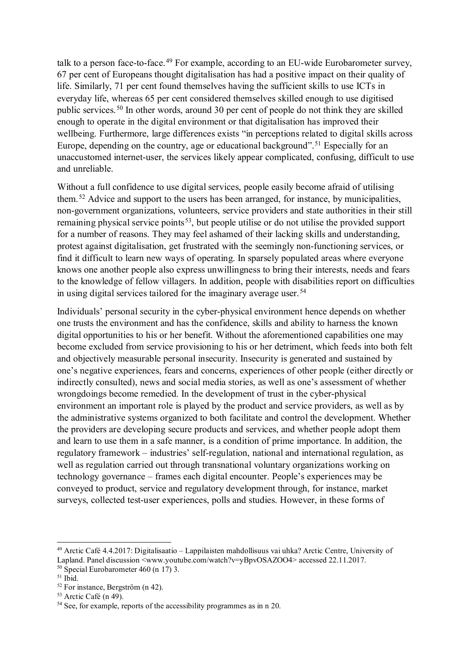talk to a person face-to-face.<sup>[49](#page-11-0)</sup> For example, according to an EU-wide Eurobarometer survey, 67 per cent of Europeans thought digitalisation has had a positive impact on their quality of life. Similarly, 71 per cent found themselves having the sufficient skills to use ICTs in everyday life, whereas 65 per cent considered themselves skilled enough to use digitised public services.[50](#page-11-1) In other words, around 30 per cent of people do not think they are skilled enough to operate in the digital environment or that digitalisation has improved their wellbeing. Furthermore, large differences exists "in perceptions related to digital skills across Europe, depending on the country, age or educational background". [51](#page-11-2) Especially for an unaccustomed internet-user, the services likely appear complicated, confusing, difficult to use and unreliable.

Without a full confidence to use digital services, people easily become afraid of utilising them.<sup>[52](#page-11-3)</sup> Advice and support to the users has been arranged, for instance, by municipalities, non-government organizations, volunteers, service providers and state authorities in their still remaining physical service points<sup>53</sup>, but people utilise or do not utilise the provided support for a number of reasons. They may feel ashamed of their lacking skills and understanding, protest against digitalisation, get frustrated with the seemingly non-functioning services, or find it difficult to learn new ways of operating. In sparsely populated areas where everyone knows one another people also express unwillingness to bring their interests, needs and fears to the knowledge of fellow villagers. In addition, people with disabilities report on difficulties in using digital services tailored for the imaginary average user.  $54$ 

Individuals' personal security in the cyber-physical environment hence depends on whether one trusts the environment and has the confidence, skills and ability to harness the known digital opportunities to his or her benefit. Without the aforementioned capabilities one may become excluded from service provisioning to his or her detriment, which feeds into both felt and objectively measurable personal insecurity. Insecurity is generated and sustained by one's negative experiences, fears and concerns, experiences of other people (either directly or indirectly consulted), news and social media stories, as well as one's assessment of whether wrongdoings become remedied. In the development of trust in the cyber-physical environment an important role is played by the product and service providers, as well as by the administrative systems organized to both facilitate and control the development. Whether the providers are developing secure products and services, and whether people adopt them and learn to use them in a safe manner, is a condition of prime importance. In addition, the regulatory framework – industries' self-regulation, national and international regulation, as well as regulation carried out through transnational voluntary organizations working on technology governance – frames each digital encounter. People's experiences may be conveyed to product, service and regulatory development through, for instance, market surveys, collected test-user experiences, polls and studies. However, in these forms of

.

<span id="page-11-0"></span><sup>49</sup> Arctic Café 4.4.2017: Digitalisaatio – Lappilaisten mahdollisuus vai uhka? Arctic Centre, University of Lapland. Panel discussion <www.youtube.com/watch?v=yBpvOSAZOO4> accessed 22.11.2017.

<span id="page-11-1"></span><sup>&</sup>lt;sup>50</sup> Special Eurobarometer 460 (n 17) 3.<br><sup>51</sup> Ibid.<br><sup>52</sup> For instance. Bergström (n 42).

<span id="page-11-2"></span>

<span id="page-11-5"></span><span id="page-11-4"></span><span id="page-11-3"></span><sup>&</sup>lt;sup>53</sup> Arctic Café (n 49).  $\frac{54 \text{ Sec.}}{120}$ . 54 See, for example, reports of the accessibility programmes as in n 20.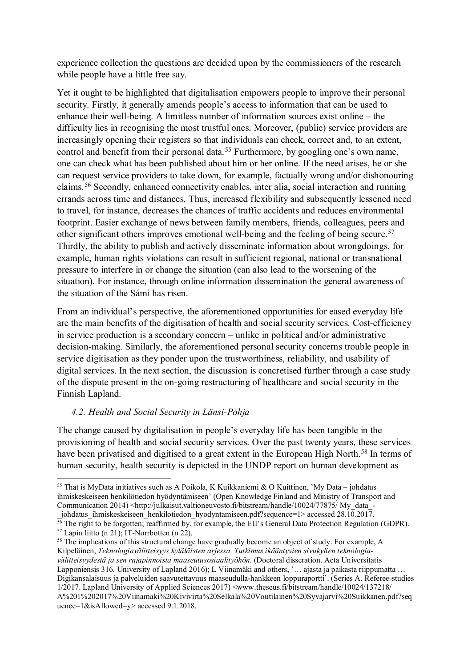experience collection the questions are decided upon by the commissioners of the research while people have a little free say.

Yet it ought to be highlighted that digitalisation empowers people to improve their personal security. Firstly, it generally amends people's access to information that can be used to enhance their well-being. A limitless number of information sources exist online – the difficulty lies in recognising the most trustful ones. Moreover, (public) service providers are increasingly opening their registers so that individuals can check, correct and, to an extent, control and benefit from their personal data. [55](#page-12-0) Furthermore, by googling one's own name, one can check what has been published about him or her online. If the need arises, he or she can request service providers to take down, for example, factually wrong and/or dishonouring claims.[56](#page-12-1) Secondly, enhanced connectivity enables, inter alia, social interaction and running errands across time and distances. Thus, increased flexibility and subsequently lessened need to travel, for instance, decreases the chances of traffic accidents and reduces environmental footprint. Easier exchange of news between family members, friends, colleagues, peers and other significant others improves emotional well-being and the feeling of being secure.<sup>[57](#page-12-2)</sup> Thirdly, the ability to publish and actively disseminate information about wrongdoings, for example, human rights violations can result in sufficient regional, national or transnational pressure to interfere in or change the situation (can also lead to the worsening of the situation). For instance, through online information dissemination the general awareness of the situation of the Sámi has risen.

From an individual's perspective, the aforementioned opportunities for eased everyday life are the main benefits of the digitisation of health and social security services. Cost-efficiency in service production is a secondary concern – unlike in political and/or administrative decision-making. Similarly, the aforementioned personal security concerns trouble people in service digitisation as they ponder upon the trustworthiness, reliability, and usability of digital services. In the next section, the discussion is concretised further through a case study of the dispute present in the on-going restructuring of healthcare and social security in the Finnish Lapland.

#### *4.2. Health and Social Security in Länsi-Pohja*

1

The change caused by digitalisation in people's everyday life has been tangible in the provisioning of health and social security services. Over the past twenty years, these services have been privatised and digitised to a great extent in the European High North.<sup>[58](#page-12-3)</sup> In terms of human security, health security is depicted in the UNDP report on human development as

<span id="page-12-0"></span><sup>55</sup> That is MyData initiatives such as A Poikola, K Kuikkaniemi & O Kuittinen, 'My Data – johdatus ihmiskeskeiseen henkilötiedon hyödyntämiseen' (Open Knowledge Finland and Ministry of Transport and Communication 2014) <http://julkaisut.valtioneuvosto.fi/bitstream/handle/10024/77875/ My\_data\_-

\_johdatus\_ihmiskeskeiseen\_henkilotiedon\_hyodyntamiseen.pdf?sequence=1> accessed 28.10.2017.

<sup>&</sup>lt;sup>56</sup> The right to be forgotten; reaffirmed by, for example, the EU's General Data Protection Regulation (GDPR).

<span id="page-12-3"></span><span id="page-12-2"></span><span id="page-12-1"></span> $57$  Lapin liitto (n 21); IT-Norrbotten (n 22).<br> $58$  The implications of this structural change have gradually become an object of study. For example, A Kilpeläinen, *Teknologiavälitteisyys kyläläisten arjessa. Tutkimus ikääntyvien sivukylien teknologiavälitteisyydestä ja sen rajapinnoista maaseutusosiaalityöhön.* (Doctoral disseration. Acta Universitatis Lapponiensis 316. University of Lapland 2016); L Viinamäki and others, '… ajasta ja paikasta riippumatta … Digikansalaisuus ja palveluiden saavutettavuus maaseudulla-hankkeen loppuraportti'. (Series A. Referee-studies 1/2017. Lapland University of Applied Sciences 2017) <www.theseus.fi/bitstream/handle/10024/137218/ A%201%202017%20Viinamaki%20Kivivirta%20Selkala%20Voutilainen%20Syvajarvi%20Suikkanen.pdf?seq uence=1&isAllowed=y> accessed 9.1.2018.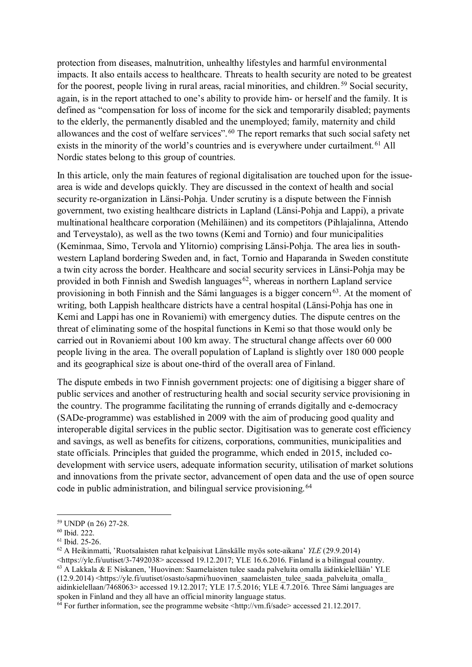protection from diseases, malnutrition, unhealthy lifestyles and harmful environmental impacts. It also entails access to healthcare. Threats to health security are noted to be greatest for the poorest, people living in rural areas, racial minorities, and children.<sup>[59](#page-13-0)</sup> Social security, again, is in the report attached to one's ability to provide him- or herself and the family. It is defined as "compensation for loss of income for the sick and temporarily disabled; payments to the elderly, the permanently disabled and the unemployed; family, maternity and child allowances and the cost of welfare services".<sup>[60](#page-13-1)</sup> The report remarks that such social safety net exists in the minority of the world's countries and is everywhere under curtailment.<sup>[61](#page-13-2)</sup> All Nordic states belong to this group of countries.

In this article, only the main features of regional digitalisation are touched upon for the issuearea is wide and develops quickly. They are discussed in the context of health and social security re-organization in Länsi-Pohja. Under scrutiny is a dispute between the Finnish government, two existing healthcare districts in Lapland (Länsi-Pohja and Lappi), a private multinational healthcare corporation (Mehiläinen) and its competitors (Pihlajalinna, Attendo and Terveystalo), as well as the two towns (Kemi and Tornio) and four municipalities (Keminmaa, Simo, Tervola and Ylitornio) comprising Länsi-Pohja. The area lies in southwestern Lapland bordering Sweden and, in fact, Tornio and Haparanda in Sweden constitute a twin city across the border. Healthcare and social security services in Länsi-Pohja may be provided in both Finnish and Swedish languages $62$ , whereas in northern Lapland service provisioning in both Finnish and the Sámi languages is a bigger concern<sup>63</sup>. At the moment of writing, both Lappish healthcare districts have a central hospital (Länsi-Pohja has one in Kemi and Lappi has one in Rovaniemi) with emergency duties. The dispute centres on the threat of eliminating some of the hospital functions in Kemi so that those would only be carried out in Rovaniemi about 100 km away. The structural change affects over 60 000 people living in the area. The overall population of Lapland is slightly over 180 000 people and its geographical size is about one-third of the overall area of Finland.

The dispute embeds in two Finnish government projects: one of digitising a bigger share of public services and another of restructuring health and social security service provisioning in the country. The programme facilitating the running of errands digitally and e-democracy (SADe-programme) was established in 2009 with the aim of producing good quality and interoperable digital services in the public sector. Digitisation was to generate cost efficiency and savings, as well as benefits for citizens, corporations, communities, municipalities and state officials. Principles that guided the programme, which ended in 2015, included codevelopment with service users, adequate information security, utilisation of market solutions and innovations from the private sector, advancement of open data and the use of open source code in public administration, and bilingual service provisioning.<sup>[64](#page-13-5)</sup>

<span id="page-13-0"></span><sup>59</sup> UNDP (n 26) 27-28.

<span id="page-13-1"></span><sup>60</sup> Ibid. 222.

<span id="page-13-2"></span><sup>61</sup> Ibid. 25-26.

<span id="page-13-3"></span><sup>62</sup> A Heikinmatti, 'Ruotsalaisten rahat kelpaisivat Länskälle myös sote-aikana' *YLE* (29.9.2014)

<span id="page-13-4"></span><sup>&</sup>lt;https://yle.fi/uutiset/3-7492038> accessed 19.12.2017; YLE 16.6.2016. Finland is a bilingual country. <sup>63</sup> A Lakkala & E Niskanen, 'Huovinen: Saamelaisten tulee saada palveluita omalla äidinkielellään' YLE  $(12.9.2014)$  <https://yle.fi/uutiset/osasto/sapmi/huovinen\_saamelaisten\_tulee\_saada\_palveluita\_omalla\_ aidinkielellaan/7468063> accessed 19.12.2017; YLE 17.5.2016; YLE  $\overline{4}$ .7.2016. Three Sámi languages are spoken in Finland and they all have an official minority language status.

<span id="page-13-5"></span> $\frac{64}{9}$  For further information, see the programme website <http://vm.fi/sade> accessed 21.12.2017.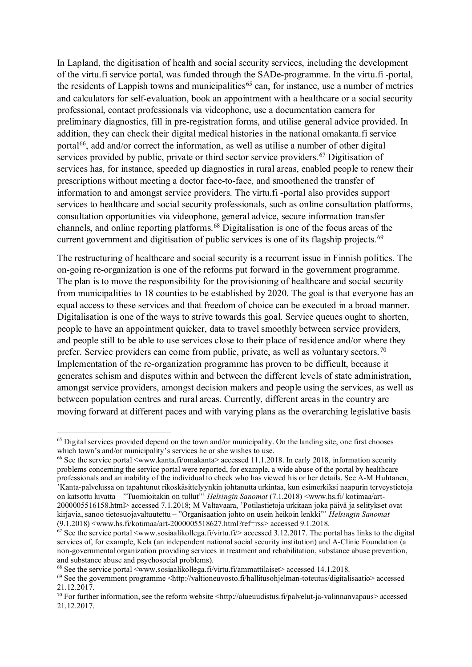In Lapland, the digitisation of health and social security services, including the development of the virtu.fi service portal, was funded through the SADe-programme. In the virtu.fi -portal, the residents of Lappish towns and municipalities<sup>[65](#page-14-0)</sup> can, for instance, use a number of metrics and calculators for self-evaluation, book an appointment with a healthcare or a social security professional, contact professionals via videophone, use a documentation camera for preliminary diagnostics, fill in pre-registration forms, and utilise general advice provided. In addition, they can check their digital medical histories in the national omakanta.fi service portal<sup>66</sup>, add and/or correct the information, as well as utilise a number of other digital services provided by public, private or third sector service providers.<sup>[67](#page-14-2)</sup> Digitisation of services has, for instance, speeded up diagnostics in rural areas, enabled people to renew their prescriptions without meeting a doctor face-to-face, and smoothened the transfer of information to and amongst service providers. The virtu.fi -portal also provides support services to healthcare and social security professionals, such as online consultation platforms, consultation opportunities via videophone, general advice, secure information transfer channels, and online reporting platforms.[68](#page-14-3) Digitalisation is one of the focus areas of the current government and digitisation of public services is one of its flagship projects.<sup>[69](#page-14-4)</sup>

The restructuring of healthcare and social security is a recurrent issue in Finnish politics. The on-going re-organization is one of the reforms put forward in the government programme. The plan is to move the responsibility for the provisioning of healthcare and social security from municipalities to 18 counties to be established by 2020. The goal is that everyone has an equal access to these services and that freedom of choice can be executed in a broad manner. Digitalisation is one of the ways to strive towards this goal. Service queues ought to shorten, people to have an appointment quicker, data to travel smoothly between service providers, and people still to be able to use services close to their place of residence and/or where they prefer. Service providers can come from public, private, as well as voluntary sectors.<sup>[70](#page-14-5)</sup> Implementation of the re-organization programme has proven to be difficult, because it generates schism and disputes within and between the different levels of state administration, amongst service providers, amongst decision makers and people using the services, as well as between population centres and rural areas. Currently, different areas in the country are moving forward at different paces and with varying plans as the overarching legislative basis

<span id="page-14-0"></span> $<sup>65</sup>$  Digital services provided depend on the town and/or municipality. On the landing site, one first chooses</sup> which town's and/or municipality's services he or she wishes to use.

<span id="page-14-1"></span><sup>66</sup> See the service portal <www.kanta.fi/omakanta> accessed 11.1.2018. In early 2018, information security problems concerning the service portal were reported, for example, a wide abuse of the portal by healthcare professionals and an inability of the individual to check who has viewed his or her details. See A-M Huhtanen, 'Kanta-palvelussa on tapahtunut rikoskäsittelyynkin johtanutta urkintaa, kun esimerkiksi naapurin terveystietoja on katsottu luvatta – "Tuomioitakin on tullut"' *Helsingin Sanomat* (7.1.2018) <www.hs.fi/ kotimaa/art-2000005516158.html> accessed 7.1.2018; M Valtavaara, 'Potilastietoja urkitaan joka päivä ja selitykset ovat kirjavia, sanoo tietosuojavaltuutettu – "Organisaation johto on usein heikoin lenkki"' *Helsingin Sanomat* (9.1.2018) <www.hs.fi/kotimaa/art-2000005518627.html?ref=rss> accessed 9.1.2018.

<span id="page-14-2"></span> $67$  See the service portal <www.sosiaalikollega.fi/virtu.fi/> accessed 3.12.2017. The portal has links to the digital services of, for example, Kela (an independent national social security institution) and A-Clinic Foundation (a non-governmental organization providing services in treatment and rehabilitation, substance abuse prevention, and substance abuse and psychosocial problems).

<span id="page-14-3"></span> $^{68}$  See the service portal  $\leq$ www.sosiaalikollega.fi/virtu.fi/ammattilaiset> accessed 14.1.2018.

<span id="page-14-4"></span><sup>69</sup> See the government programme <http://valtioneuvosto.fi/hallitusohjelman-toteutus/digitalisaatio> accessed 21.12.2017.

<span id="page-14-5"></span> $70$  For further information, see the reform website <http://alueuudistus.fi/palvelut-ja-valinnanvapaus> accessed 21.12.2017.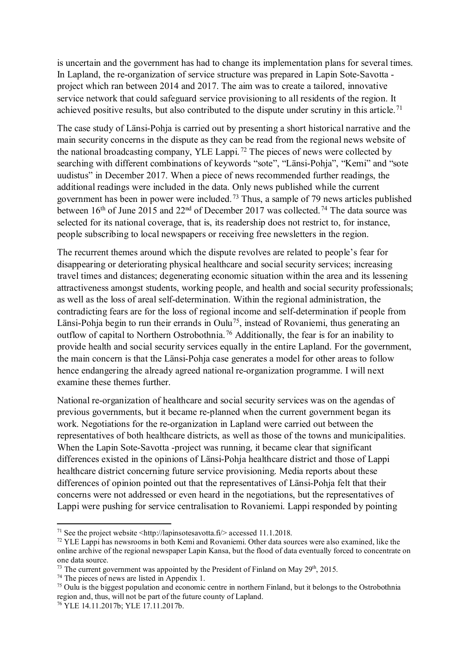is uncertain and the government has had to change its implementation plans for several times. In Lapland, the re-organization of service structure was prepared in Lapin Sote-Savotta project which ran between 2014 and 2017. The aim was to create a tailored, innovative service network that could safeguard service provisioning to all residents of the region. It achieved positive results, but also contributed to the dispute under scrutiny in this article.<sup>[71](#page-15-0)</sup>

The case study of Länsi-Pohja is carried out by presenting a short historical narrative and the main security concerns in the dispute as they can be read from the regional news website of the national broadcasting company, YLE Lappi. [72](#page-15-1) The pieces of news were collected by searching with different combinations of keywords "sote", "Länsi-Pohja", "Kemi" and "sote uudistus" in December 2017. When a piece of news recommended further readings, the additional readings were included in the data. Only news published while the current government has been in power were included.<sup>[73](#page-15-2)</sup> Thus, a sample of 79 news articles published between 16<sup>th</sup> of June 2015 and 22<sup>nd</sup> of December 2017 was collected.<sup>[74](#page-15-3)</sup> The data source was selected for its national coverage, that is, its readership does not restrict to, for instance, people subscribing to local newspapers or receiving free newsletters in the region.

The recurrent themes around which the dispute revolves are related to people's fear for disappearing or deteriorating physical healthcare and social security services; increasing travel times and distances; degenerating economic situation within the area and its lessening attractiveness amongst students, working people, and health and social security professionals; as well as the loss of areal self-determination. Within the regional administration, the contradicting fears are for the loss of regional income and self-determination if people from Länsi-Pohja begin to run their errands in Oulu<sup>[75](#page-15-4)</sup>, instead of Rovaniemi, thus generating an outflow of capital to Northern Ostrobothnia. [76](#page-15-5) Additionally, the fear is for an inability to provide health and social security services equally in the entire Lapland. For the government, the main concern is that the Länsi-Pohja case generates a model for other areas to follow hence endangering the already agreed national re-organization programme. I will next examine these themes further.

National re-organization of healthcare and social security services was on the agendas of previous governments, but it became re-planned when the current government began its work. Negotiations for the re-organization in Lapland were carried out between the representatives of both healthcare districts, as well as those of the towns and municipalities. When the Lapin Sote-Savotta -project was running, it became clear that significant differences existed in the opinions of Länsi-Pohja healthcare district and those of Lappi healthcare district concerning future service provisioning. Media reports about these differences of opinion pointed out that the representatives of Länsi-Pohja felt that their concerns were not addressed or even heard in the negotiations, but the representatives of Lappi were pushing for service centralisation to Rovaniemi. Lappi responded by pointing

<span id="page-15-0"></span><sup>&</sup>lt;sup>71</sup> See the project website  $\langle$ http://lapinsotesavotta.fi/> accessed 11.1.2018.

<span id="page-15-1"></span><sup>&</sup>lt;sup>72</sup> YLE Lappi has newsrooms in both Kemi and Rovaniemi. Other data sources were also examined, like the online archive of the regional newspaper Lapin Kansa, but the flood of data eventually forced to concentrate on one data source.

<span id="page-15-2"></span> $^{73}$  The current government was appointed by the President of Finland on May 29<sup>th</sup>, 2015.

<span id="page-15-3"></span> $74$  The pieces of news are listed in Appendix 1.

<span id="page-15-4"></span><sup>75</sup> Oulu is the biggest population and economic centre in northern Finland, but it belongs to the Ostrobothnia region and, thus, will not be part of the future county of Lapland.

<span id="page-15-5"></span><sup>76</sup> YLE 14.11.2017b; YLE 17.11.2017b.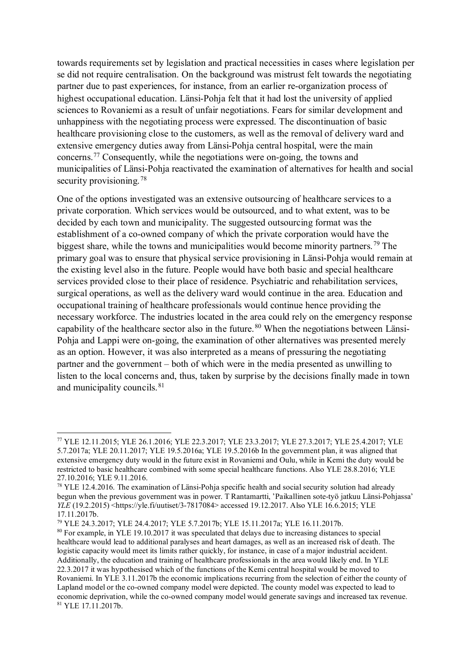towards requirements set by legislation and practical necessities in cases where legislation per se did not require centralisation. On the background was mistrust felt towards the negotiating partner due to past experiences, for instance, from an earlier re-organization process of highest occupational education. Länsi-Pohja felt that it had lost the university of applied sciences to Rovaniemi as a result of unfair negotiations. Fears for similar development and unhappiness with the negotiating process were expressed. The discontinuation of basic healthcare provisioning close to the customers, as well as the removal of delivery ward and extensive emergency duties away from Länsi-Pohja central hospital, were the main concerns.[77](#page-16-0) Consequently, while the negotiations were on-going, the towns and municipalities of Länsi-Pohja reactivated the examination of alternatives for health and social security provisioning.<sup>[78](#page-16-1)</sup>

One of the options investigated was an extensive outsourcing of healthcare services to a private corporation. Which services would be outsourced, and to what extent, was to be decided by each town and municipality. The suggested outsourcing format was the establishment of a co-owned company of which the private corporation would have the biggest share, while the towns and municipalities would become minority partners.<sup>[79](#page-16-2)</sup> The primary goal was to ensure that physical service provisioning in Länsi-Pohja would remain at the existing level also in the future. People would have both basic and special healthcare services provided close to their place of residence. Psychiatric and rehabilitation services, surgical operations, as well as the delivery ward would continue in the area. Education and occupational training of healthcare professionals would continue hence providing the necessary workforce. The industries located in the area could rely on the emergency response capability of the healthcare sector also in the future.<sup>[80](#page-16-3)</sup> When the negotiations between Länsi-Pohja and Lappi were on-going, the examination of other alternatives was presented merely as an option. However, it was also interpreted as a means of pressuring the negotiating partner and the government – both of which were in the media presented as unwilling to listen to the local concerns and, thus, taken by surprise by the decisions finally made in town and municipality councils. <sup>[81](#page-16-4)</sup>

<span id="page-16-2"></span><sup>79</sup> YLE 24.3.2017; YLE 24.4.2017; YLE 5.7.2017b; YLE 15.11.2017a; YLE 16.11.2017b.

<span id="page-16-0"></span><sup>77</sup> YLE 12.11.2015; YLE 26.1.2016; YLE 22.3.2017; YLE 23.3.2017; YLE 27.3.2017; YLE 25.4.2017; YLE 5.7.2017a; YLE 20.11.2017; YLE 19.5.2016a; YLE 19.5.2016b In the government plan, it was aligned that extensive emergency duty would in the future exist in Rovaniemi and Oulu, while in Kemi the duty would be restricted to basic healthcare combined with some special healthcare functions. Also YLE 28.8.2016; YLE 27.10.2016; YLE 9.11.2016.

<span id="page-16-1"></span><sup>&</sup>lt;sup>78</sup> YLE 12.4.2016. The examination of Länsi-Pohja specific health and social security solution had already begun when the previous government was in power. T Rantamartti, 'Paikallinen sote-työ jatkuu Länsi-Pohjassa' *YLE* (19.2.2015) <https://yle.fi/uutiset/3-7817084> accessed 19.12.2017. Also YLE 16.6.2015; YLE 17.11.2017b.

<span id="page-16-4"></span><span id="page-16-3"></span><sup>80</sup> For example, in YLE 19.10.2017 it was speculated that delays due to increasing distances to special healthcare would lead to additional paralyses and heart damages, as well as an increased risk of death. The logistic capacity would meet its limits rather quickly, for instance, in case of a major industrial accident. Additionally, the education and training of healthcare professionals in the area would likely end. In YLE 22.3.2017 it was hypothesised which of the functions of the Kemi central hospital would be moved to Rovaniemi. In YLE 3.11.2017b the economic implications recurring from the selection of either the county of Lapland model or the co-owned company model were depicted. The county model was expected to lead to economic deprivation, while the co-owned company model would generate savings and increased tax revenue. 81 YLE 17.11.2017b.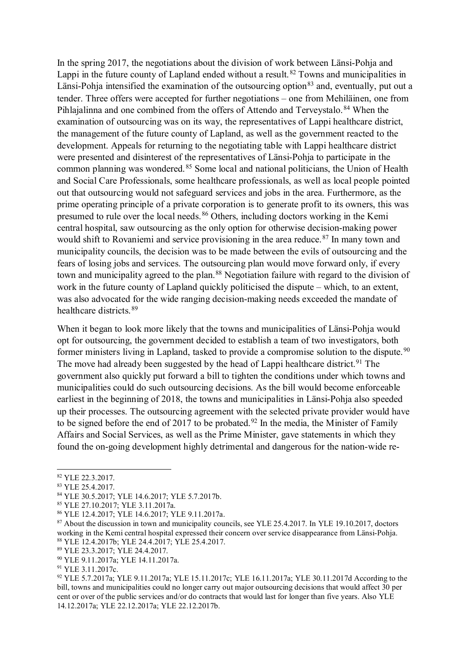In the spring 2017, the negotiations about the division of work between Länsi-Pohja and Lappi in the future county of Lapland ended without a result.<sup>[82](#page-17-0)</sup> Towns and municipalities in Länsi-Pohia intensified the examination of the outsourcing option<sup>[83](#page-17-1)</sup> and, eventually, put out a tender. Three offers were accepted for further negotiations – one from Mehiläinen, one from Pihlajalinna and one combined from the offers of Attendo and Terveystalo.<sup>[84](#page-17-2)</sup> When the examination of outsourcing was on its way, the representatives of Lappi healthcare district, the management of the future county of Lapland, as well as the government reacted to the development. Appeals for returning to the negotiating table with Lappi healthcare district were presented and disinterest of the representatives of Länsi-Pohja to participate in the common planning was wondered.<sup>[85](#page-17-3)</sup> Some local and national politicians, the Union of Health and Social Care Professionals, some healthcare professionals, as well as local people pointed out that outsourcing would not safeguard services and jobs in the area. Furthermore, as the prime operating principle of a private corporation is to generate profit to its owners, this was presumed to rule over the local needs. <sup>86</sup> Others, including doctors working in the Kemi central hospital, saw outsourcing as the only option for otherwise decision-making power would shift to Rovaniemi and service provisioning in the area reduce.<sup>[87](#page-17-5)</sup> In many town and municipality councils, the decision was to be made between the evils of outsourcing and the fears of losing jobs and services. The outsourcing plan would move forward only, if every town and municipality agreed to the plan.<sup>[88](#page-17-6)</sup> Negotiation failure with regard to the division of work in the future county of Lapland quickly politicised the dispute – which, to an extent, was also advocated for the wide ranging decision-making needs exceeded the mandate of healthcare districts.[89](#page-17-7)

When it began to look more likely that the towns and municipalities of Länsi-Pohja would opt for outsourcing, the government decided to establish a team of two investigators, both former ministers living in Lapland, tasked to provide a compromise solution to the dispute.<sup>[90](#page-17-8)</sup> The move had already been suggested by the head of Lappi healthcare district.<sup>[91](#page-17-9)</sup> The government also quickly put forward a bill to tighten the conditions under which towns and municipalities could do such outsourcing decisions. As the bill would become enforceable earliest in the beginning of 2018, the towns and municipalities in Länsi-Pohja also speeded up their processes. The outsourcing agreement with the selected private provider would have to be signed before the end of 2017 to be probated.<sup>[92](#page-17-10)</sup> In the media, the Minister of Family Affairs and Social Services, as well as the Prime Minister, gave statements in which they found the on-going development highly detrimental and dangerous for the nation-wide re-

<span id="page-17-0"></span><sup>&</sup>lt;sup>82</sup> YLE 22.3.2017.<br><sup>83</sup> YLE 25.4.2017.

<span id="page-17-2"></span><span id="page-17-1"></span><sup>83</sup> YLE 25.4.2017. 84 YLE 30.5.2017; YLE 14.6.2017; YLE 5.7.2017b.

<span id="page-17-4"></span><span id="page-17-3"></span><sup>85</sup> YLE 27.10.2017; YLE 3.11.2017a. 86 YLE 12.4.2017; YLE 14.6.2017; YLE 9.11.2017a.

<span id="page-17-5"></span><sup>&</sup>lt;sup>87</sup> About the discussion in town and municipality councils, see YLE 25.4.2017. In YLE 19.10.2017, doctors working in the Kemi central hospital expressed their concern over service disappearance from Länsi-Pohja. <sup>88</sup> YLE 12.4.2017b; YLE 24.4.2017; YLE 25.4.2017.

<span id="page-17-7"></span><span id="page-17-6"></span><sup>89</sup> YLE 23.3.2017; YLE 24.4.2017.

<span id="page-17-8"></span><sup>90</sup> YLE 9.11.2017a; YLE 14.11.2017a.

<span id="page-17-9"></span><sup>91</sup> YLE 3.11.2017c.

<span id="page-17-10"></span><sup>92</sup> YLE 5.7.2017a; YLE 9.11.2017a; YLE 15.11.2017c; YLE 16.11.2017a; YLE 30.11.2017d According to the bill, towns and municipalities could no longer carry out major outsourcing decisions that would affect 30 per cent or over of the public services and/or do contracts that would last for longer than five years. Also YLE 14.12.2017a; YLE 22.12.2017a; YLE 22.12.2017b.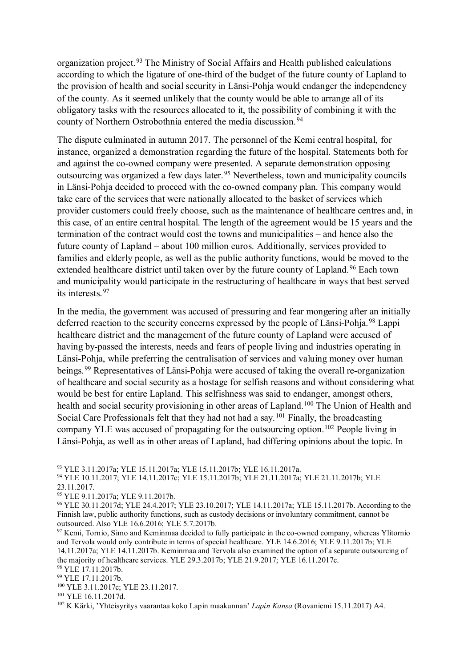organization project.<sup>[93](#page-18-0)</sup> The Ministry of Social Affairs and Health published calculations according to which the ligature of one-third of the budget of the future county of Lapland to the provision of health and social security in Länsi-Pohja would endanger the independency of the county. As it seemed unlikely that the county would be able to arrange all of its obligatory tasks with the resources allocated to it, the possibility of combining it with the county of Northern Ostrobothnia entered the media discussion.<sup>[94](#page-18-1)</sup>

The dispute culminated in autumn 2017. The personnel of the Kemi central hospital, for instance, organized a demonstration regarding the future of the hospital. Statements both for and against the co-owned company were presented. A separate demonstration opposing outsourcing was organized a few days later. [95](#page-18-2) Nevertheless, town and municipality councils in Länsi-Pohja decided to proceed with the co-owned company plan. This company would take care of the services that were nationally allocated to the basket of services which provider customers could freely choose, such as the maintenance of healthcare centres and, in this case, of an entire central hospital. The length of the agreement would be 15 years and the termination of the contract would cost the towns and municipalities – and hence also the future county of Lapland – about 100 million euros. Additionally, services provided to families and elderly people, as well as the public authority functions, would be moved to the extended healthcare district until taken over by the future county of Lapland.<sup>[96](#page-18-3)</sup> Each town and municipality would participate in the restructuring of healthcare in ways that best served its interests.[97](#page-18-4)

In the media, the government was accused of pressuring and fear mongering after an initially deferred reaction to the security concerns expressed by the people of Länsi-Pohja.<sup>98</sup> Lappi healthcare district and the management of the future county of Lapland were accused of having by-passed the interests, needs and fears of people living and industries operating in Länsi-Pohja, while preferring the centralisation of services and valuing money over human beings.<sup>[99](#page-18-6)</sup> Representatives of Länsi-Pohja were accused of taking the overall re-organization of healthcare and social security as a hostage for selfish reasons and without considering what would be best for entire Lapland. This selfishness was said to endanger, amongst others, health and social security provisioning in other areas of Lapland.<sup>100</sup> The Union of Health and Social Care Professionals felt that they had not had a say.<sup>[101](#page-18-8)</sup> Finally, the broadcasting company YLE was accused of propagating for the outsourcing option.[102](#page-18-9) People living in Länsi-Pohja, as well as in other areas of Lapland, had differing opinions about the topic. In

<span id="page-18-0"></span><sup>93</sup> YLE 3.11.2017a; YLE 15.11.2017a; YLE 15.11.2017b; YLE 16.11.2017a.

<span id="page-18-1"></span><sup>94</sup> YLE 10.11.2017; YLE 14.11.2017c; YLE 15.11.2017b; YLE 21.11.2017a; YLE 21.11.2017b; YLE 23.11.2017.

<span id="page-18-2"></span><sup>95</sup> YLE 9.11.2017a; YLE 9.11.2017b.

<span id="page-18-3"></span><sup>96</sup> YLE 30.11.2017d; YLE 24.4.2017; YLE 23.10.2017; YLE 14.11.2017a; YLE 15.11.2017b. According to the Finnish law, public authority functions, such as custody decisions or involuntary commitment, cannot be outsourced. Also YLE 16.6.2016; YLE 5.7.2017b.

<span id="page-18-4"></span><sup>&</sup>lt;sup>97</sup> Kemi, Tornio, Simo and Keminmaa decided to fully participate in the co-owned company, whereas Ylitornio and Tervola would only contribute in terms of special healthcare. YLE 14.6.2016; YLE 9.11.2017b; YLE 14.11.2017a; YLE 14.11.2017b. Keminmaa and Tervola also examined the option of a separate outsourcing of the majority of healthcare services. YLE 29.3.2017b; YLE 21.9.2017; YLE 16.11.2017c. <sup>98</sup> YLE 17.11.2017b.

<span id="page-18-6"></span><span id="page-18-5"></span><sup>99</sup> YLE 17.11.2017b.

<span id="page-18-7"></span><sup>100</sup> YLE 3.11.2017c; YLE 23.11.2017.

<span id="page-18-8"></span><sup>101</sup> YLE 16.11.2017d.

<span id="page-18-9"></span><sup>102</sup> K Kärki, 'Yhteisyritys vaarantaa koko Lapin maakunnan' *Lapin Kansa* (Rovaniemi 15.11.2017) A4.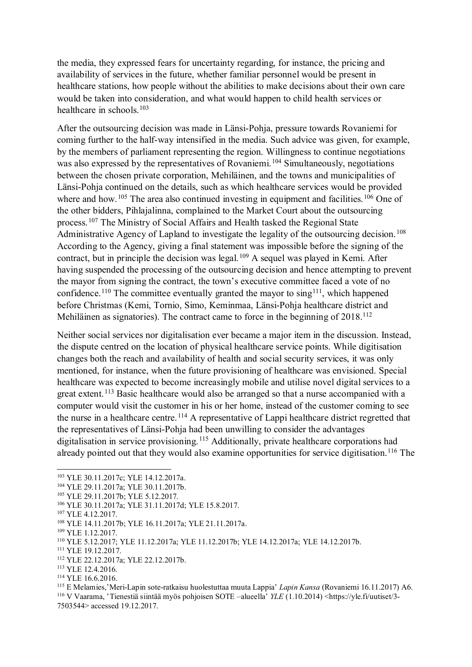the media, they expressed fears for uncertainty regarding, for instance, the pricing and availability of services in the future, whether familiar personnel would be present in healthcare stations, how people without the abilities to make decisions about their own care would be taken into consideration, and what would happen to child health services or healthcare in schools  $103$ 

After the outsourcing decision was made in Länsi-Pohja, pressure towards Rovaniemi for coming further to the half-way intensified in the media. Such advice was given, for example, by the members of parliament representing the region. Willingness to continue negotiations was also expressed by the representatives of Rovaniemi.<sup>[104](#page-19-1)</sup> Simultaneously, negotiations between the chosen private corporation, Mehiläinen, and the towns and municipalities of Länsi-Pohja continued on the details, such as which healthcare services would be provided where and how.<sup>[105](#page-19-2)</sup> The area also continued investing in equipment and facilities.<sup>[106](#page-19-3)</sup> One of the other bidders, Pihlajalinna, complained to the Market Court about the outsourcing process.[107](#page-19-4) The Ministry of Social Affairs and Health tasked the Regional State Administrative Agency of Lapland to investigate the legality of the outsourcing decision.<sup>[108](#page-19-5)</sup> According to the Agency, giving a final statement was impossible before the signing of the contract, but in principle the decision was legal.<sup>[109](#page-19-6)</sup> A sequel was played in Kemi. After having suspended the processing of the outsourcing decision and hence attempting to prevent the mayor from signing the contract, the town's executive committee faced a vote of no confidence.<sup>[110](#page-19-7)</sup> The committee eventually granted the mayor to sing<sup>111</sup>, which happened before Christmas (Kemi, Tornio, Simo, Keminmaa, Länsi-Pohja healthcare district and Mehiläinen as signatories). The contract came to force in the beginning of 2018.<sup>[112](#page-19-9)</sup>

Neither social services nor digitalisation ever became a major item in the discussion. Instead, the dispute centred on the location of physical healthcare service points. While digitisation changes both the reach and availability of health and social security services, it was only mentioned, for instance, when the future provisioning of healthcare was envisioned. Special healthcare was expected to become increasingly mobile and utilise novel digital services to a great extent.<sup>[113](#page-19-10)</sup> Basic healthcare would also be arranged so that a nurse accompanied with a computer would visit the customer in his or her home, instead of the customer coming to see the nurse in a healthcare centre.<sup>[114](#page-19-11)</sup> A representative of Lappi healthcare district regretted that the representatives of Länsi-Pohja had been unwilling to consider the advantages digitalisation in service provisioning.<sup>[115](#page-19-12)</sup> Additionally, private healthcare corporations had already pointed out that they would also examine opportunities for service digitisation.<sup>[116](#page-19-13)</sup> The

<span id="page-19-0"></span><sup>103</sup> YLE 30.11.2017c; YLE 14.12.2017a.

<span id="page-19-2"></span><span id="page-19-1"></span><sup>104</sup> YLE 29.11.2017a; YLE 30.11.2017b.<br><sup>105</sup> YLE 29.11.2017b; YLE 5.12.2017.

<sup>106</sup> YLE 30.11.2017a; YLE 31.11.2017d; YLE 15.8.2017.

<span id="page-19-4"></span><span id="page-19-3"></span><sup>107</sup> YLE 4.12.2017.

<span id="page-19-5"></span><sup>108</sup> YLE 14.11.2017b; YLE 16.11.2017a; YLE 21.11.2017a.

<sup>109</sup> YLE 1.12.2017.

<span id="page-19-7"></span><span id="page-19-6"></span><sup>110</sup> YLE 5.12.2017; YLE 11.12.2017a; YLE 11.12.2017b; YLE 14.12.2017a; YLE 14.12.2017b.

<span id="page-19-8"></span><sup>111</sup> YLE 19.12.2017.

<span id="page-19-9"></span><sup>112</sup> YLE 22.12.2017a; YLE 22.12.2017b.

<span id="page-19-10"></span><sup>113</sup> YLE 12.4.2016.

<span id="page-19-11"></span><sup>&</sup>lt;sup>114</sup> YLE 16.6.2016.<br><sup>115</sup> E Melamies,'Meri-Lapin sote-ratkaisu huolestuttaa muuta Lappia' *Lapin Kansa* (Rovaniemi 16.11.2017) A6.

<span id="page-19-13"></span><span id="page-19-12"></span><sup>&</sup>lt;sup>116</sup> V Vaarama, 'Tienestiä siintää myös pohjoisen SOTE –alueella<sup>3</sup> YLE (1.10.2014) <https://yle.fi/uutiset/3-7503544> accessed 19.12.2017.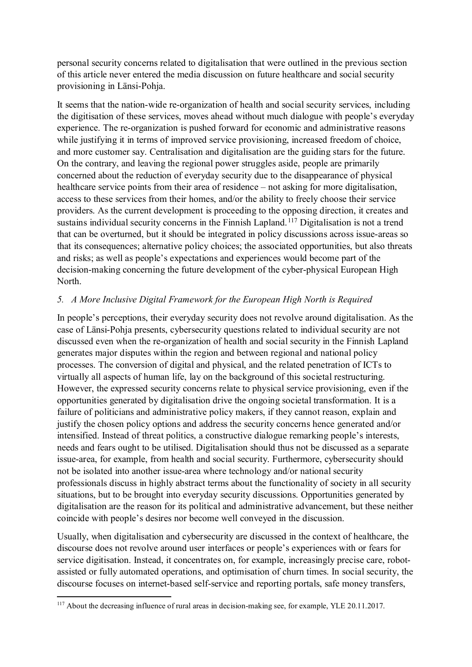personal security concerns related to digitalisation that were outlined in the previous section of this article never entered the media discussion on future healthcare and social security provisioning in Länsi-Pohja.

It seems that the nation-wide re-organization of health and social security services, including the digitisation of these services, moves ahead without much dialogue with people's everyday experience. The re-organization is pushed forward for economic and administrative reasons while justifying it in terms of improved service provisioning, increased freedom of choice, and more customer say. Centralisation and digitalisation are the guiding stars for the future. On the contrary, and leaving the regional power struggles aside, people are primarily concerned about the reduction of everyday security due to the disappearance of physical healthcare service points from their area of residence – not asking for more digitalisation, access to these services from their homes, and/or the ability to freely choose their service providers. As the current development is proceeding to the opposing direction, it creates and sustains individual security concerns in the Finnish Lapland.<sup>[117](#page-20-0)</sup> Digitalisation is not a trend that can be overturned, but it should be integrated in policy discussions across issue-areas so that its consequences; alternative policy choices; the associated opportunities, but also threats and risks; as well as people's expectations and experiences would become part of the decision-making concerning the future development of the cyber-physical European High North.

#### *5. A More Inclusive Digital Framework for the European High North is Required*

In people's perceptions, their everyday security does not revolve around digitalisation. As the case of Länsi-Pohja presents, cybersecurity questions related to individual security are not discussed even when the re-organization of health and social security in the Finnish Lapland generates major disputes within the region and between regional and national policy processes. The conversion of digital and physical, and the related penetration of ICTs to virtually all aspects of human life, lay on the background of this societal restructuring. However, the expressed security concerns relate to physical service provisioning, even if the opportunities generated by digitalisation drive the ongoing societal transformation. It is a failure of politicians and administrative policy makers, if they cannot reason, explain and justify the chosen policy options and address the security concerns hence generated and/or intensified. Instead of threat politics, a constructive dialogue remarking people's interests, needs and fears ought to be utilised. Digitalisation should thus not be discussed as a separate issue-area, for example, from health and social security. Furthermore, cybersecurity should not be isolated into another issue-area where technology and/or national security professionals discuss in highly abstract terms about the functionality of society in all security situations, but to be brought into everyday security discussions. Opportunities generated by digitalisation are the reason for its political and administrative advancement, but these neither coincide with people's desires nor become well conveyed in the discussion.

Usually, when digitalisation and cybersecurity are discussed in the context of healthcare, the discourse does not revolve around user interfaces or people's experiences with or fears for service digitisation. Instead, it concentrates on, for example, increasingly precise care, robotassisted or fully automated operations, and optimisation of churn times. In social security, the discourse focuses on internet-based self-service and reporting portals, safe money transfers,

<span id="page-20-0"></span><sup>1</sup> <sup>117</sup> About the decreasing influence of rural areas in decision-making see, for example, YLE 20.11.2017.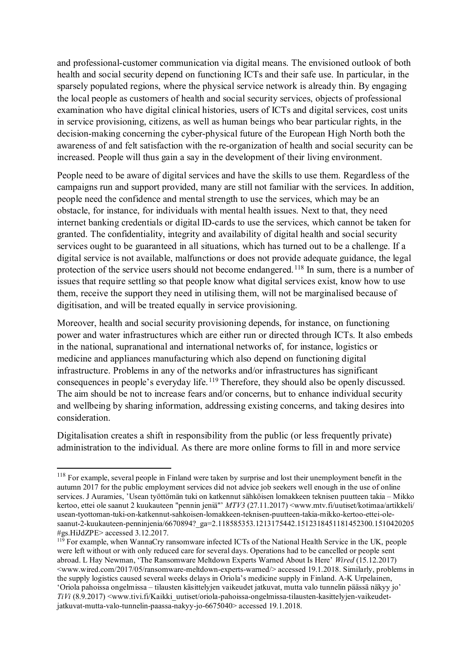and professional-customer communication via digital means. The envisioned outlook of both health and social security depend on functioning ICTs and their safe use. In particular, in the sparsely populated regions, where the physical service network is already thin. By engaging the local people as customers of health and social security services, objects of professional examination who have digital clinical histories, users of ICTs and digital services, cost units in service provisioning, citizens, as well as human beings who bear particular rights, in the decision-making concerning the cyber-physical future of the European High North both the awareness of and felt satisfaction with the re-organization of health and social security can be increased. People will thus gain a say in the development of their living environment.

People need to be aware of digital services and have the skills to use them. Regardless of the campaigns run and support provided, many are still not familiar with the services. In addition, people need the confidence and mental strength to use the services, which may be an obstacle, for instance, for individuals with mental health issues. Next to that, they need internet banking credentials or digital ID-cards to use the services, which cannot be taken for granted. The confidentiality, integrity and availability of digital health and social security services ought to be guaranteed in all situations, which has turned out to be a challenge. If a digital service is not available, malfunctions or does not provide adequate guidance, the legal protection of the service users should not become endangered.<sup>[118](#page-21-0)</sup> In sum, there is a number of issues that require settling so that people know what digital services exist, know how to use them, receive the support they need in utilising them, will not be marginalised because of digitisation, and will be treated equally in service provisioning.

Moreover, health and social security provisioning depends, for instance, on functioning power and water infrastructures which are either run or directed through ICTs. It also embeds in the national, supranational and international networks of, for instance, logistics or medicine and appliances manufacturing which also depend on functioning digital infrastructure. Problems in any of the networks and/or infrastructures has significant consequences in people's everyday life.[119](#page-21-1) Therefore, they should also be openly discussed. The aim should be not to increase fears and/or concerns, but to enhance individual security and wellbeing by sharing information, addressing existing concerns, and taking desires into consideration.

Digitalisation creates a shift in responsibility from the public (or less frequently private) administration to the individual. As there are more online forms to fill in and more service

<span id="page-21-0"></span><sup>&</sup>lt;sup>118</sup> For example, several people in Finland were taken by surprise and lost their unemployment benefit in the autumn 2017 for the public employment services did not advice job seekers well enough in the use of online services. J Auramies, 'Usean työttömän tuki on katkennut sähköisen lomakkeen teknisen puutteen takia – Mikko kertoo, ettei ole saanut 2 kuukauteen "pennin jeniä"' *MTV3* (27.11.2017) <www.mtv.fi/uutiset/kotimaa/artikkeli/ usean-tyottoman-tuki-on-katkennut-sahkoisen-lomakkeen-teknisen-puutteen-takia-mikko-kertoo-ettei-olesaanut-2-kuukauteen-penninjenia/6670894? ga=2.118585353.1213175442.1512318451181452300.1510420205 #gs.HiJdZPE> accessed 3.12.2017.

<span id="page-21-1"></span> $119$  For example, when WannaCry ransomware infected ICTs of the National Health Service in the UK, people were left without or with only reduced care for several days. Operations had to be cancelled or people sent abroad. L Hay Newman, 'The Ransomware Meltdown Experts Warned About Is Here' *Wired* (15.12.2017)  $\langle$ www.wired.com/2017/05/ransomware-meltdown-experts-warned/ $>$  accessed 19.1.2018. Similarly, problems in the supply logistics caused several weeks delays in Oriola's medicine supply in Finland. A-K Urpelainen, 'Oriola pahoissa ongelmissa – tilausten käsittelyjen vaikeudet jatkuvat, mutta valo tunnelin päässä näkyy jo' *TiVi* (8.9.2017) <www.tivi.fi/Kaikki\_uutiset/oriola-pahoissa-ongelmissa-tilausten-kasittelyjen-vaikeudetjatkuvat-mutta-valo-tunnelin-paassa-nakyy-jo-6675040> accessed 19.1.2018.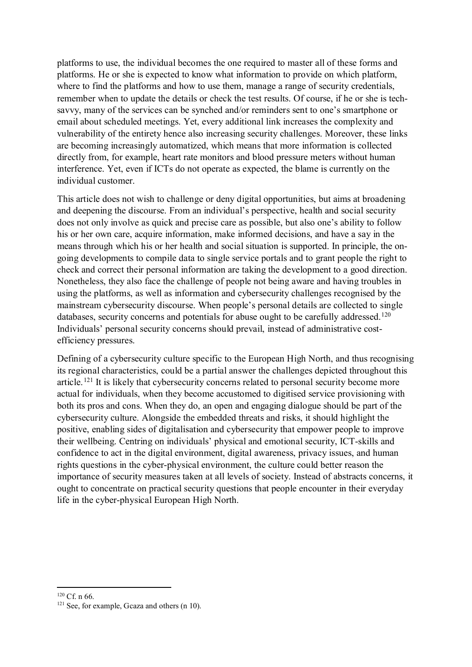platforms to use, the individual becomes the one required to master all of these forms and platforms. He or she is expected to know what information to provide on which platform, where to find the platforms and how to use them, manage a range of security credentials, remember when to update the details or check the test results. Of course, if he or she is techsavvy, many of the services can be synched and/or reminders sent to one's smartphone or email about scheduled meetings. Yet, every additional link increases the complexity and vulnerability of the entirety hence also increasing security challenges. Moreover, these links are becoming increasingly automatized, which means that more information is collected directly from, for example, heart rate monitors and blood pressure meters without human interference. Yet, even if ICTs do not operate as expected, the blame is currently on the individual customer.

This article does not wish to challenge or deny digital opportunities, but aims at broadening and deepening the discourse. From an individual's perspective, health and social security does not only involve as quick and precise care as possible, but also one's ability to follow his or her own care, acquire information, make informed decisions, and have a say in the means through which his or her health and social situation is supported. In principle, the ongoing developments to compile data to single service portals and to grant people the right to check and correct their personal information are taking the development to a good direction. Nonetheless, they also face the challenge of people not being aware and having troubles in using the platforms, as well as information and cybersecurity challenges recognised by the mainstream cybersecurity discourse. When people's personal details are collected to single databases, security concerns and potentials for abuse ought to be carefully addressed.<sup>[120](#page-22-0)</sup> Individuals' personal security concerns should prevail, instead of administrative costefficiency pressures.

Defining of a cybersecurity culture specific to the European High North, and thus recognising its regional characteristics, could be a partial answer the challenges depicted throughout this article.<sup>[121](#page-22-1)</sup> It is likely that cybersecurity concerns related to personal security become more actual for individuals, when they become accustomed to digitised service provisioning with both its pros and cons. When they do, an open and engaging dialogue should be part of the cybersecurity culture. Alongside the embedded threats and risks, it should highlight the positive, enabling sides of digitalisation and cybersecurity that empower people to improve their wellbeing. Centring on individuals' physical and emotional security, ICT-skills and confidence to act in the digital environment, digital awareness, privacy issues, and human rights questions in the cyber-physical environment, the culture could better reason the importance of security measures taken at all levels of society. Instead of abstracts concerns, it ought to concentrate on practical security questions that people encounter in their everyday life in the cyber-physical European High North.

<sup>1</sup>  $120$  Cf. n 66.

<span id="page-22-1"></span><span id="page-22-0"></span> $121$  See, for example, Gcaza and others (n 10).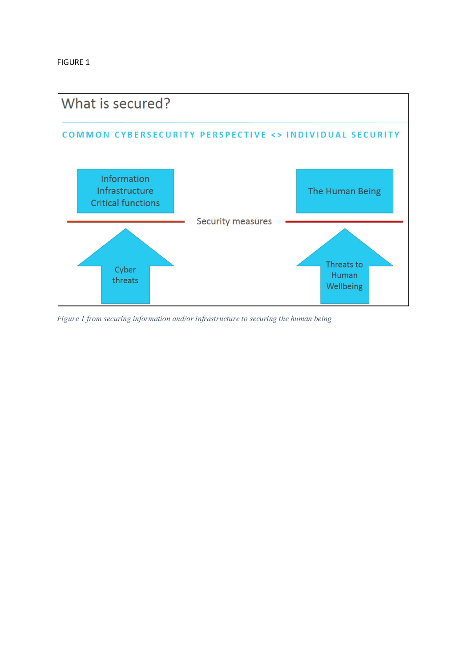

*Figure 1 from securing information and/or infrastructure to securing the human being*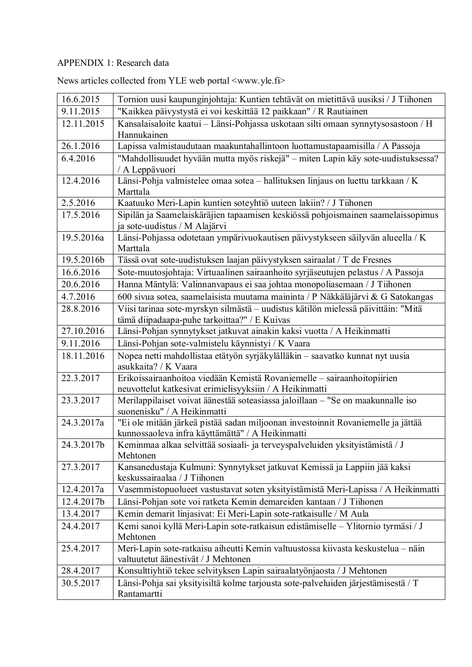## APPENDIX 1: Research data

| 16.6.2015  |                                                                                                                                      |
|------------|--------------------------------------------------------------------------------------------------------------------------------------|
| 9.11.2015  | Tornion uusi kaupunginjohtaja: Kuntien tehtävät on mietittävä uusiksi / J Tiihonen                                                   |
|            | "Kaikkea päivystystä ei voi keskittää 12 paikkaan" / R Rautiainen                                                                    |
| 12.11.2015 | Kansalaisaloite kaatui - Länsi-Pohjassa uskotaan silti omaan synnytysosastoon / H<br>Hannukainen                                     |
| 26.1.2016  | Lapissa valmistaudutaan maakuntahallintoon luottamustapaamisilla / A Passoja                                                         |
| 6.4.2016   | "Mahdollisuudet hyvään mutta myös riskejä" - miten Lapin käy sote-uudistuksessa?<br>/ A Leppävuori                                   |
| 12.4.2016  | Länsi-Pohja valmistelee omaa sotea - hallituksen linjaus on luettu tarkkaan / K<br>Marttala                                          |
| 2.5.2016   | Kaatuuko Meri-Lapin kuntien soteyhtiö uuteen lakiin? / J Tiihonen                                                                    |
| 17.5.2016  | Sipilän ja Saamelaiskäräjien tapaamisen keskiössä pohjoismainen saamelaissopimus<br>ja sote-uudistus / M Alajärvi                    |
| 19.5.2016a | Länsi-Pohjassa odotetaan ympärivuokautisen päivystykseen säilyvän alueella / K<br>Marttala                                           |
| 19.5.2016b | Tässä ovat sote-uudistuksen laajan päivystyksen sairaalat / T de Fresnes                                                             |
| 16.6.2016  | Sote-muutosjohtaja: Virtuaalinen sairaanhoito syrjäseutujen pelastus / A Passoja                                                     |
| 20.6.2016  | Hanna Mäntylä: Valinnanvapaus ei saa johtaa monopoliasemaan / J Tiihonen                                                             |
| 4.7.2016   | 600 sivua sotea, saamelaisista muutama maininta / P Näkkäläjärvi & G Satokangas                                                      |
| 28.8.2016  | Viisi tarinaa sote-myrskyn silmästä - uudistus kätilön mielessä päivittäin: "Mitä<br>tämä diipadaapa-puhe tarkoittaa?" / E Kuivas    |
| 27.10.2016 | Länsi-Pohjan synnytykset jatkuvat ainakin kaksi vuotta / A Heikinmatti                                                               |
| 9.11.2016  | Länsi-Pohjan sote-valmistelu käynnistyi / K Vaara                                                                                    |
| 18.11.2016 | Nopea netti mahdollistaa etätyön syrjäkylälläkin - saavatko kunnat nyt uusia<br>asukkaita? / K Vaara                                 |
| 22.3.2017  | Erikoissairaanhoitoa viedään Kemistä Rovaniemelle - sairaanhoitopiirien<br>neuvottelut katkesivat erimielisyyksiin / A Heikinmatti   |
| 23.3.2017  | Merilappilaiset voivat äänestää soteasiassa jaloillaan - "Se on maakunnalle iso<br>suonenisku" / A Heikinmatti                       |
| 24.3.2017a | "Ei ole mitään järkeä pistää sadan miljoonan investoinnit Rovaniemelle ja jättää<br>kunnossaoleva infra käyttämättä" / A Heikinmatti |
| 24.3.2017b | Keminmaa alkaa selvittää sosiaali- ja terveyspalveluiden yksityistämistä / J<br>Mehtonen                                             |
| 27.3.2017  | Kansanedustaja Kulmuni: Synnytykset jatkuvat Kemissä ja Lappiin jää kaksi<br>keskussairaalaa / J Tiihonen                            |
| 12.4.2017a | Vasemmistopuolueet vastustavat soten yksityistämistä Meri-Lapissa / A Heikinmatti                                                    |
| 12.4.2017b | Länsi-Pohjan sote voi ratketa Kemin demareiden kantaan / J Tiihonen                                                                  |
| 13.4.2017  | Kemin demarit linjasivat: Ei Meri-Lapin sote-ratkaisulle / M Aula                                                                    |
| 24.4.2017  | Kemi sanoi kyllä Meri-Lapin sote-ratkaisun edistämiselle - Ylitornio tyrmäsi / J<br>Mehtonen                                         |
| 25.4.2017  | Meri-Lapin sote-ratkaisu aiheutti Kemin valtuustossa kiivasta keskustelua - näin                                                     |
|            | valtuutetut äänestivät / J Mehtonen                                                                                                  |
| 28.4.2017  | Konsulttiyhtiö tekee selvityksen Lapin sairaalatyönjaosta / J Mehtonen                                                               |
| 30.5.2017  | Länsi-Pohja sai yksityisiltä kolme tarjousta sote-palveluiden järjestämisestä / T<br>Rantamartti                                     |

News articles collected from YLE web portal <www.yle.fi>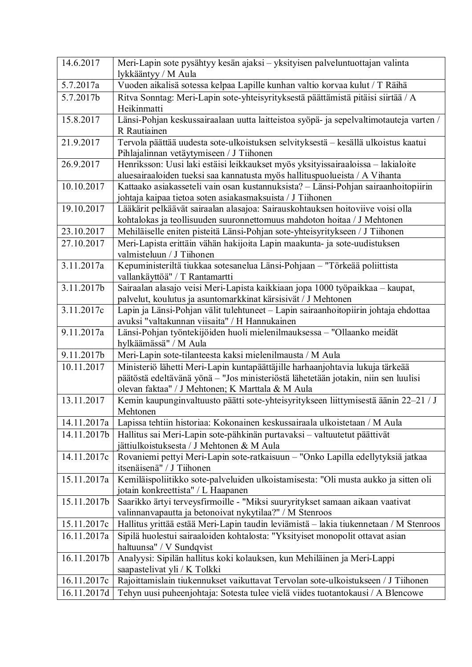| lykkääntyy / M Aula<br>Vuoden aikalisä sotessa kelpaa Lapille kunhan valtio korvaa kulut / T Räihä<br>5.7.2017a<br>5.7.2017b<br>Ritva Sonntag: Meri-Lapin sote-yhteisyrityksestä päättämistä pitäisi siirtää / A<br>Heikinmatti<br>Länsi-Pohjan keskussairaalaan uutta laitteistoa syöpä- ja sepelvaltimotauteja varten /<br>15.8.2017<br>R Rautiainen<br>Tervola päättää uudesta sote-ulkoistuksen selvityksestä - kesällä ulkoistus kaatui<br>21.9.2017<br>Pihlajalinnan vetäytymiseen / J Tiihonen<br>Henriksson: Uusi laki estäisi leikkaukset myös yksityissairaaloissa - lakialoite<br>26.9.2017<br>aluesairaaloiden tueksi saa kannatusta myös hallituspuolueista / A Vihanta<br>Kattaako asiakasseteli vain osan kustannuksista? - Länsi-Pohjan sairaanhoitopiirin<br>10.10.2017<br>johtaja kaipaa tietoa soten asiakasmaksuista / J Tiihonen<br>Lääkärit pelkäävät sairaalan alasajoa: Sairauskohtauksen hoitoviive voisi olla<br>19.10.2017<br>kohtalokas ja teollisuuden suuronnettomuus mahdoton hoitaa / J Mehtonen<br>23.10.2017<br>Mehiläiselle eniten pisteitä Länsi-Pohjan sote-yhteisyritykseen / J Tiihonen<br>Meri-Lapista erittäin vähän hakijoita Lapin maakunta- ja sote-uudistuksen<br>27.10.2017<br>valmisteluun / J Tiihonen<br>Kepuministeriltä tiukkaa sotesanelua Länsi-Pohjaan - "Törkeää poliittista<br>3.11.2017a<br>vallankäyttöä" / T Rantamartti<br>Sairaalan alasajo veisi Meri-Lapista kaikkiaan jopa 1000 työpaikkaa - kaupat,<br>3.11.2017b<br>palvelut, koulutus ja asuntomarkkinat kärsisivät / J Mehtonen<br>Lapin ja Länsi-Pohjan välit tulehtuneet - Lapin sairaanhoitopiirin johtaja ehdottaa<br>3.11.2017c<br>avuksi "valtakunnan viisaita" / H Hannukainen |
|-----------------------------------------------------------------------------------------------------------------------------------------------------------------------------------------------------------------------------------------------------------------------------------------------------------------------------------------------------------------------------------------------------------------------------------------------------------------------------------------------------------------------------------------------------------------------------------------------------------------------------------------------------------------------------------------------------------------------------------------------------------------------------------------------------------------------------------------------------------------------------------------------------------------------------------------------------------------------------------------------------------------------------------------------------------------------------------------------------------------------------------------------------------------------------------------------------------------------------------------------------------------------------------------------------------------------------------------------------------------------------------------------------------------------------------------------------------------------------------------------------------------------------------------------------------------------------------------------------------------------------------------------------------------------------------------------------------|
|                                                                                                                                                                                                                                                                                                                                                                                                                                                                                                                                                                                                                                                                                                                                                                                                                                                                                                                                                                                                                                                                                                                                                                                                                                                                                                                                                                                                                                                                                                                                                                                                                                                                                                           |
|                                                                                                                                                                                                                                                                                                                                                                                                                                                                                                                                                                                                                                                                                                                                                                                                                                                                                                                                                                                                                                                                                                                                                                                                                                                                                                                                                                                                                                                                                                                                                                                                                                                                                                           |
|                                                                                                                                                                                                                                                                                                                                                                                                                                                                                                                                                                                                                                                                                                                                                                                                                                                                                                                                                                                                                                                                                                                                                                                                                                                                                                                                                                                                                                                                                                                                                                                                                                                                                                           |
|                                                                                                                                                                                                                                                                                                                                                                                                                                                                                                                                                                                                                                                                                                                                                                                                                                                                                                                                                                                                                                                                                                                                                                                                                                                                                                                                                                                                                                                                                                                                                                                                                                                                                                           |
|                                                                                                                                                                                                                                                                                                                                                                                                                                                                                                                                                                                                                                                                                                                                                                                                                                                                                                                                                                                                                                                                                                                                                                                                                                                                                                                                                                                                                                                                                                                                                                                                                                                                                                           |
|                                                                                                                                                                                                                                                                                                                                                                                                                                                                                                                                                                                                                                                                                                                                                                                                                                                                                                                                                                                                                                                                                                                                                                                                                                                                                                                                                                                                                                                                                                                                                                                                                                                                                                           |
|                                                                                                                                                                                                                                                                                                                                                                                                                                                                                                                                                                                                                                                                                                                                                                                                                                                                                                                                                                                                                                                                                                                                                                                                                                                                                                                                                                                                                                                                                                                                                                                                                                                                                                           |
|                                                                                                                                                                                                                                                                                                                                                                                                                                                                                                                                                                                                                                                                                                                                                                                                                                                                                                                                                                                                                                                                                                                                                                                                                                                                                                                                                                                                                                                                                                                                                                                                                                                                                                           |
|                                                                                                                                                                                                                                                                                                                                                                                                                                                                                                                                                                                                                                                                                                                                                                                                                                                                                                                                                                                                                                                                                                                                                                                                                                                                                                                                                                                                                                                                                                                                                                                                                                                                                                           |
|                                                                                                                                                                                                                                                                                                                                                                                                                                                                                                                                                                                                                                                                                                                                                                                                                                                                                                                                                                                                                                                                                                                                                                                                                                                                                                                                                                                                                                                                                                                                                                                                                                                                                                           |
|                                                                                                                                                                                                                                                                                                                                                                                                                                                                                                                                                                                                                                                                                                                                                                                                                                                                                                                                                                                                                                                                                                                                                                                                                                                                                                                                                                                                                                                                                                                                                                                                                                                                                                           |
|                                                                                                                                                                                                                                                                                                                                                                                                                                                                                                                                                                                                                                                                                                                                                                                                                                                                                                                                                                                                                                                                                                                                                                                                                                                                                                                                                                                                                                                                                                                                                                                                                                                                                                           |
|                                                                                                                                                                                                                                                                                                                                                                                                                                                                                                                                                                                                                                                                                                                                                                                                                                                                                                                                                                                                                                                                                                                                                                                                                                                                                                                                                                                                                                                                                                                                                                                                                                                                                                           |
|                                                                                                                                                                                                                                                                                                                                                                                                                                                                                                                                                                                                                                                                                                                                                                                                                                                                                                                                                                                                                                                                                                                                                                                                                                                                                                                                                                                                                                                                                                                                                                                                                                                                                                           |
|                                                                                                                                                                                                                                                                                                                                                                                                                                                                                                                                                                                                                                                                                                                                                                                                                                                                                                                                                                                                                                                                                                                                                                                                                                                                                                                                                                                                                                                                                                                                                                                                                                                                                                           |
|                                                                                                                                                                                                                                                                                                                                                                                                                                                                                                                                                                                                                                                                                                                                                                                                                                                                                                                                                                                                                                                                                                                                                                                                                                                                                                                                                                                                                                                                                                                                                                                                                                                                                                           |
|                                                                                                                                                                                                                                                                                                                                                                                                                                                                                                                                                                                                                                                                                                                                                                                                                                                                                                                                                                                                                                                                                                                                                                                                                                                                                                                                                                                                                                                                                                                                                                                                                                                                                                           |
|                                                                                                                                                                                                                                                                                                                                                                                                                                                                                                                                                                                                                                                                                                                                                                                                                                                                                                                                                                                                                                                                                                                                                                                                                                                                                                                                                                                                                                                                                                                                                                                                                                                                                                           |
|                                                                                                                                                                                                                                                                                                                                                                                                                                                                                                                                                                                                                                                                                                                                                                                                                                                                                                                                                                                                                                                                                                                                                                                                                                                                                                                                                                                                                                                                                                                                                                                                                                                                                                           |
|                                                                                                                                                                                                                                                                                                                                                                                                                                                                                                                                                                                                                                                                                                                                                                                                                                                                                                                                                                                                                                                                                                                                                                                                                                                                                                                                                                                                                                                                                                                                                                                                                                                                                                           |
|                                                                                                                                                                                                                                                                                                                                                                                                                                                                                                                                                                                                                                                                                                                                                                                                                                                                                                                                                                                                                                                                                                                                                                                                                                                                                                                                                                                                                                                                                                                                                                                                                                                                                                           |
| Länsi-Pohjan työntekijöiden huoli mielenilmauksessa - "Ollaanko meidät<br>9.11.2017a                                                                                                                                                                                                                                                                                                                                                                                                                                                                                                                                                                                                                                                                                                                                                                                                                                                                                                                                                                                                                                                                                                                                                                                                                                                                                                                                                                                                                                                                                                                                                                                                                      |
| hylkäämässä" / M Aula                                                                                                                                                                                                                                                                                                                                                                                                                                                                                                                                                                                                                                                                                                                                                                                                                                                                                                                                                                                                                                                                                                                                                                                                                                                                                                                                                                                                                                                                                                                                                                                                                                                                                     |
| Meri-Lapin sote-tilanteesta kaksi mielenilmausta / M Aula<br>9.11.2017b                                                                                                                                                                                                                                                                                                                                                                                                                                                                                                                                                                                                                                                                                                                                                                                                                                                                                                                                                                                                                                                                                                                                                                                                                                                                                                                                                                                                                                                                                                                                                                                                                                   |
| Ministeriö lähetti Meri-Lapin kuntapäättäjille harhaanjohtavia lukuja tärkeää<br>10.11.2017                                                                                                                                                                                                                                                                                                                                                                                                                                                                                                                                                                                                                                                                                                                                                                                                                                                                                                                                                                                                                                                                                                                                                                                                                                                                                                                                                                                                                                                                                                                                                                                                               |
| päätöstä edeltävänä yönä - "Jos ministeriöstä lähetetään jotakin, niin sen luulisi<br>olevan faktaa" / J Mehtonen; K Marttala & M Aula                                                                                                                                                                                                                                                                                                                                                                                                                                                                                                                                                                                                                                                                                                                                                                                                                                                                                                                                                                                                                                                                                                                                                                                                                                                                                                                                                                                                                                                                                                                                                                    |
| 13.11.2017<br>Kemin kaupunginvaltuusto päätti sote-yhteisyritykseen liittymisestä äänin 22-21 / J                                                                                                                                                                                                                                                                                                                                                                                                                                                                                                                                                                                                                                                                                                                                                                                                                                                                                                                                                                                                                                                                                                                                                                                                                                                                                                                                                                                                                                                                                                                                                                                                         |
| Mehtonen                                                                                                                                                                                                                                                                                                                                                                                                                                                                                                                                                                                                                                                                                                                                                                                                                                                                                                                                                                                                                                                                                                                                                                                                                                                                                                                                                                                                                                                                                                                                                                                                                                                                                                  |
| Lapissa tehtiin historiaa: Kokonainen keskussairaala ulkoistetaan / M Aula<br>14.11.2017a                                                                                                                                                                                                                                                                                                                                                                                                                                                                                                                                                                                                                                                                                                                                                                                                                                                                                                                                                                                                                                                                                                                                                                                                                                                                                                                                                                                                                                                                                                                                                                                                                 |
| 14.11.2017b<br>Hallitus sai Meri-Lapin sote-pähkinän purtavaksi – valtuutetut päättivät                                                                                                                                                                                                                                                                                                                                                                                                                                                                                                                                                                                                                                                                                                                                                                                                                                                                                                                                                                                                                                                                                                                                                                                                                                                                                                                                                                                                                                                                                                                                                                                                                   |
| jättiulkoistuksesta / J Mehtonen & M Aula                                                                                                                                                                                                                                                                                                                                                                                                                                                                                                                                                                                                                                                                                                                                                                                                                                                                                                                                                                                                                                                                                                                                                                                                                                                                                                                                                                                                                                                                                                                                                                                                                                                                 |
| Rovaniemi pettyi Meri-Lapin sote-ratkaisuun - "Onko Lapilla edellytyksiä jatkaa<br>14.11.2017c                                                                                                                                                                                                                                                                                                                                                                                                                                                                                                                                                                                                                                                                                                                                                                                                                                                                                                                                                                                                                                                                                                                                                                                                                                                                                                                                                                                                                                                                                                                                                                                                            |
| itsenäisenä" / J Tiihonen                                                                                                                                                                                                                                                                                                                                                                                                                                                                                                                                                                                                                                                                                                                                                                                                                                                                                                                                                                                                                                                                                                                                                                                                                                                                                                                                                                                                                                                                                                                                                                                                                                                                                 |
| Kemiläispoliitikko sote-palveluiden ulkoistamisesta: "Oli musta aukko ja sitten oli<br>15.11.2017a                                                                                                                                                                                                                                                                                                                                                                                                                                                                                                                                                                                                                                                                                                                                                                                                                                                                                                                                                                                                                                                                                                                                                                                                                                                                                                                                                                                                                                                                                                                                                                                                        |
| jotain konkreettista" / L Haapanen                                                                                                                                                                                                                                                                                                                                                                                                                                                                                                                                                                                                                                                                                                                                                                                                                                                                                                                                                                                                                                                                                                                                                                                                                                                                                                                                                                                                                                                                                                                                                                                                                                                                        |
| Saarikko ärtyi terveysfirmoille - "Miksi suuryritykset samaan aikaan vaativat<br>15.11.2017b                                                                                                                                                                                                                                                                                                                                                                                                                                                                                                                                                                                                                                                                                                                                                                                                                                                                                                                                                                                                                                                                                                                                                                                                                                                                                                                                                                                                                                                                                                                                                                                                              |
| valinnanvapautta ja betonoivat nykytilaa?" / M Stenroos                                                                                                                                                                                                                                                                                                                                                                                                                                                                                                                                                                                                                                                                                                                                                                                                                                                                                                                                                                                                                                                                                                                                                                                                                                                                                                                                                                                                                                                                                                                                                                                                                                                   |
| Hallitus yrittää estää Meri-Lapin taudin leviämistä - lakia tiukennetaan / M Stenroos<br>15.11.2017c                                                                                                                                                                                                                                                                                                                                                                                                                                                                                                                                                                                                                                                                                                                                                                                                                                                                                                                                                                                                                                                                                                                                                                                                                                                                                                                                                                                                                                                                                                                                                                                                      |
| Sipilä huolestui sairaaloiden kohtalosta: "Yksityiset monopolit ottavat asian<br>16.11.2017a<br>haltuunsa" / V Sundqvist                                                                                                                                                                                                                                                                                                                                                                                                                                                                                                                                                                                                                                                                                                                                                                                                                                                                                                                                                                                                                                                                                                                                                                                                                                                                                                                                                                                                                                                                                                                                                                                  |
| 16.11.2017b<br>Analyysi: Sipilän hallitus koki kolauksen, kun Mehiläinen ja Meri-Lappi                                                                                                                                                                                                                                                                                                                                                                                                                                                                                                                                                                                                                                                                                                                                                                                                                                                                                                                                                                                                                                                                                                                                                                                                                                                                                                                                                                                                                                                                                                                                                                                                                    |
| saapastelivat yli / K Tolkki                                                                                                                                                                                                                                                                                                                                                                                                                                                                                                                                                                                                                                                                                                                                                                                                                                                                                                                                                                                                                                                                                                                                                                                                                                                                                                                                                                                                                                                                                                                                                                                                                                                                              |
| Rajoittamislain tiukennukset vaikuttavat Tervolan sote-ulkoistukseen / J Tiihonen<br>16.11.2017c                                                                                                                                                                                                                                                                                                                                                                                                                                                                                                                                                                                                                                                                                                                                                                                                                                                                                                                                                                                                                                                                                                                                                                                                                                                                                                                                                                                                                                                                                                                                                                                                          |
| Tehyn uusi puheenjohtaja: Sotesta tulee vielä viides tuotantokausi / A Blencowe<br>16.11.2017d                                                                                                                                                                                                                                                                                                                                                                                                                                                                                                                                                                                                                                                                                                                                                                                                                                                                                                                                                                                                                                                                                                                                                                                                                                                                                                                                                                                                                                                                                                                                                                                                            |